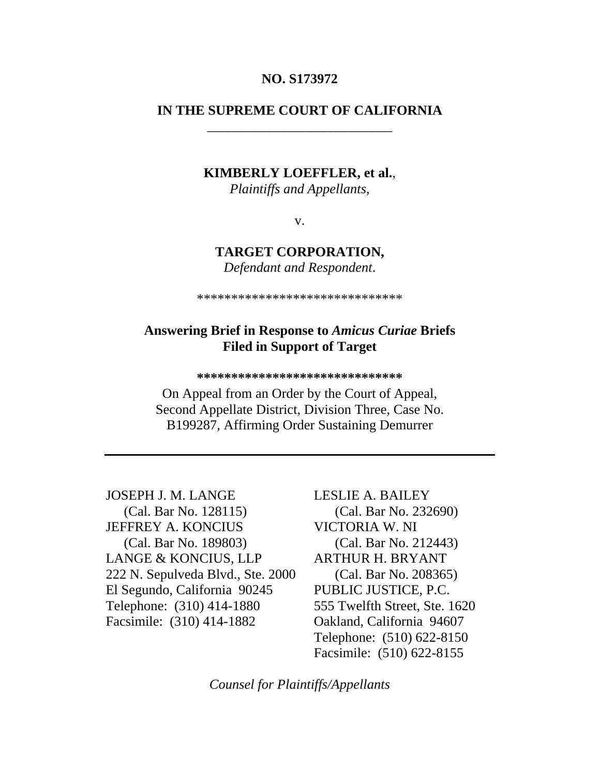#### **NO. S173972**

# **IN THE SUPREME COURT OF CALIFORNIA**  \_\_\_\_\_\_\_\_\_\_\_\_\_\_\_\_\_\_\_\_\_\_\_\_\_\_\_

#### **KIMBERLY LOEFFLER, et al.**,

*Plaintiffs and Appellants*,

v.

#### **TARGET CORPORATION,**

*Defendant and Respondent*.

\*\*\*\*\*\*\*\*\*\*\*\*\*\*\*\*\*\*\*\*\*\*\*\*\*\*\*\*\*\*

#### **Answering Brief in Response to** *Amicus Curiae* **Briefs Filed in Support of Target**

**\*\*\*\*\*\*\*\*\*\*\*\*\*\*\*\*\*\*\*\*\*\*\*\*\*\*\*\*\*\*** 

On Appeal from an Order by the Court of Appeal, Second Appellate District, Division Three, Case No. B199287, Affirming Order Sustaining Demurrer

JOSEPH J. M. LANGE (Cal. Bar No. 128115) JEFFREY A. KONCIUS (Cal. Bar No. 189803) LANGE & KONCIUS, LLP 222 N. Sepulveda Blvd., Ste. 2000 El Segundo, California 90245 Telephone: (310) 414-1880 Facsimile: (310) 414-1882

LESLIE A. BAILEY (Cal. Bar No. 232690) VICTORIA W. NI (Cal. Bar No. 212443) ARTHUR H. BRYANT (Cal. Bar No. 208365) PUBLIC JUSTICE, P.C. 555 Twelfth Street, Ste. 1620 Oakland, California 94607 Telephone: (510) 622-8150 Facsimile: (510) 622-8155

*Counsel for Plaintiffs/Appellants*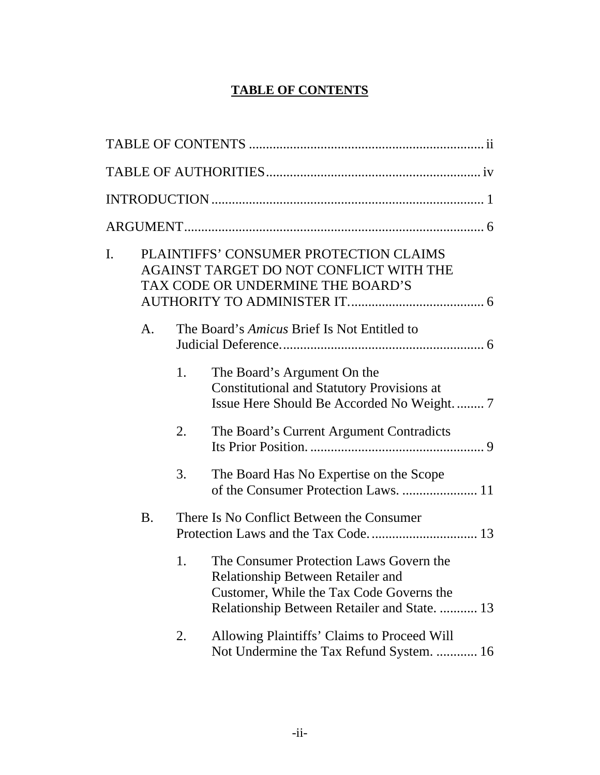# **TABLE OF CONTENTS**

<span id="page-1-0"></span>

| I. | PLAINTIFFS' CONSUMER PROTECTION CLAIMS<br>AGAINST TARGET DO NOT CONFLICT WITH THE<br>TAX CODE OR UNDERMINE THE BOARD'S |    |                                                                                                                                                                                 |  |
|----|------------------------------------------------------------------------------------------------------------------------|----|---------------------------------------------------------------------------------------------------------------------------------------------------------------------------------|--|
|    | A.                                                                                                                     |    | The Board's <i>Amicus</i> Brief Is Not Entitled to                                                                                                                              |  |
|    |                                                                                                                        | 1. | The Board's Argument On the<br><b>Constitutional and Statutory Provisions at</b><br>Issue Here Should Be Accorded No Weight.  7                                                 |  |
|    |                                                                                                                        | 2. | The Board's Current Argument Contradicts                                                                                                                                        |  |
|    |                                                                                                                        | 3. | The Board Has No Expertise on the Scope<br>of the Consumer Protection Laws.  11                                                                                                 |  |
|    | <b>B.</b>                                                                                                              |    | There Is No Conflict Between the Consumer                                                                                                                                       |  |
|    |                                                                                                                        | 1. | The Consumer Protection Laws Govern the<br><b>Relationship Between Retailer and</b><br>Customer, While the Tax Code Governs the<br>Relationship Between Retailer and State.  13 |  |
|    |                                                                                                                        | 2. | Allowing Plaintiffs' Claims to Proceed Will<br>Not Undermine the Tax Refund System.  16                                                                                         |  |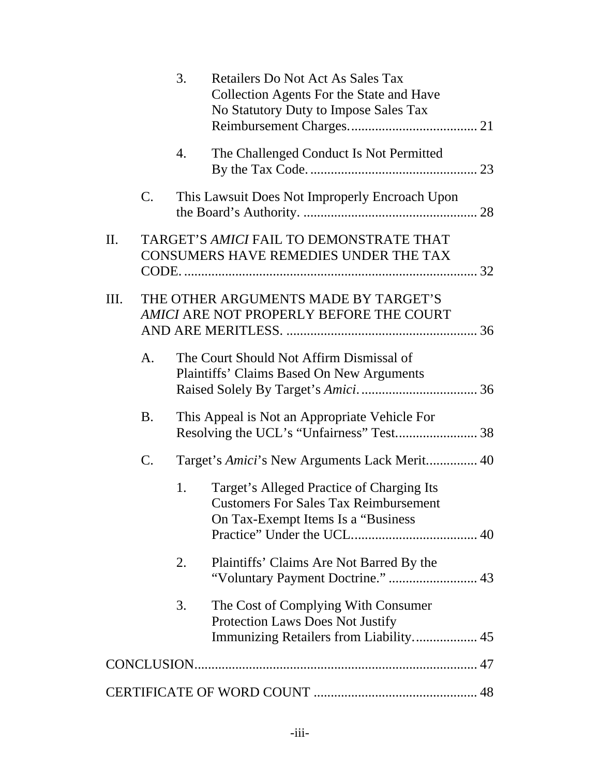|    |             | 3. | <b>Retailers Do Not Act As Sales Tax</b><br><b>Collection Agents For the State and Have</b><br>No Statutory Duty to Impose Sales Tax |
|----|-------------|----|--------------------------------------------------------------------------------------------------------------------------------------|
|    |             | 4. | The Challenged Conduct Is Not Permitted                                                                                              |
|    | $C_{\cdot}$ |    | This Lawsuit Does Not Improperly Encroach Upon                                                                                       |
| Π. |             |    | TARGET'S AMICI FAIL TO DEMONSTRATE THAT<br>CONSUMERS HAVE REMEDIES UNDER THE TAX                                                     |
| Ш. |             |    | THE OTHER ARGUMENTS MADE BY TARGET'S<br><b>AMICI ARE NOT PROPERLY BEFORE THE COURT</b>                                               |
|    | A.          |    | The Court Should Not Affirm Dismissal of<br>Plaintiffs' Claims Based On New Arguments                                                |
|    | B.          |    | This Appeal is Not an Appropriate Vehicle For<br>Resolving the UCL's "Unfairness" Test 38                                            |
|    | C.          |    | Target's Amici's New Arguments Lack Merit 40                                                                                         |
|    |             | 1. | Target's Alleged Practice of Charging Its<br><b>Customers For Sales Tax Reimbursement</b><br>On Tax-Exempt Items Is a "Business"     |
|    |             | 2. | Plaintiffs' Claims Are Not Barred By the                                                                                             |
|    |             | 3. | The Cost of Complying With Consumer<br><b>Protection Laws Does Not Justify</b><br>Immunizing Retailers from Liability 45             |
|    |             |    |                                                                                                                                      |
|    |             |    |                                                                                                                                      |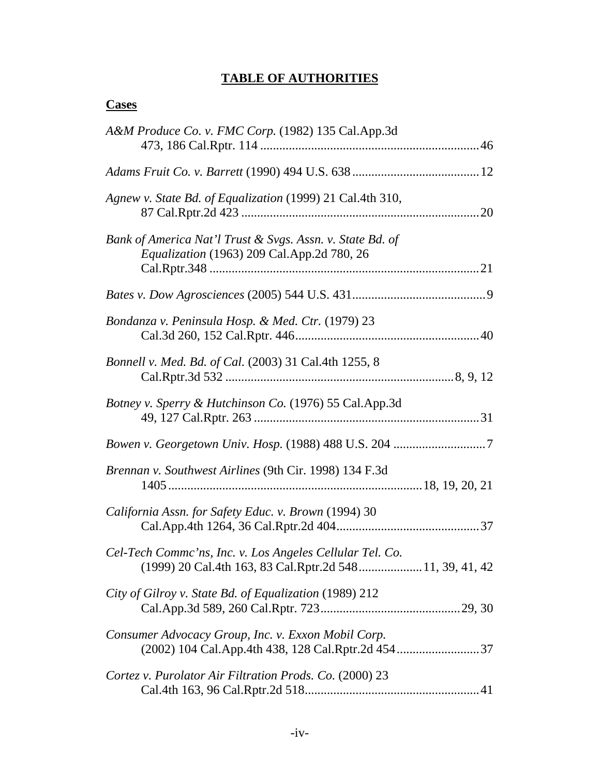# **TABLE OF AUTHORITIES**

# <span id="page-3-0"></span>**Cases**

| A&M Produce Co. v. FMC Corp. (1982) 135 Cal.App.3d                                                                   |  |
|----------------------------------------------------------------------------------------------------------------------|--|
|                                                                                                                      |  |
| Agnew v. State Bd. of Equalization (1999) 21 Cal.4th 310,                                                            |  |
| Bank of America Nat'l Trust & Svgs. Assn. v. State Bd. of<br>Equalization (1963) 209 Cal.App.2d 780, 26              |  |
|                                                                                                                      |  |
| Bondanza v. Peninsula Hosp. & Med. Ctr. (1979) 23                                                                    |  |
| Bonnell v. Med. Bd. of Cal. (2003) 31 Cal.4th 1255, 8                                                                |  |
| Botney v. Sperry & Hutchinson Co. (1976) 55 Cal.App.3d                                                               |  |
|                                                                                                                      |  |
| Brennan v. Southwest Airlines (9th Cir. 1998) 134 F.3d                                                               |  |
| California Assn. for Safety Educ. v. Brown (1994) 30                                                                 |  |
| Cel-Tech Commc'ns, Inc. v. Los Angeles Cellular Tel. Co.<br>(1999) 20 Cal.4th 163, 83 Cal.Rptr.2d 548 11, 39, 41, 42 |  |
| City of Gilroy v. State Bd. of Equalization (1989) 212                                                               |  |
| Consumer Advocacy Group, Inc. v. Exxon Mobil Corp.                                                                   |  |
| Cortez v. Purolator Air Filtration Prods. Co. (2000) 23                                                              |  |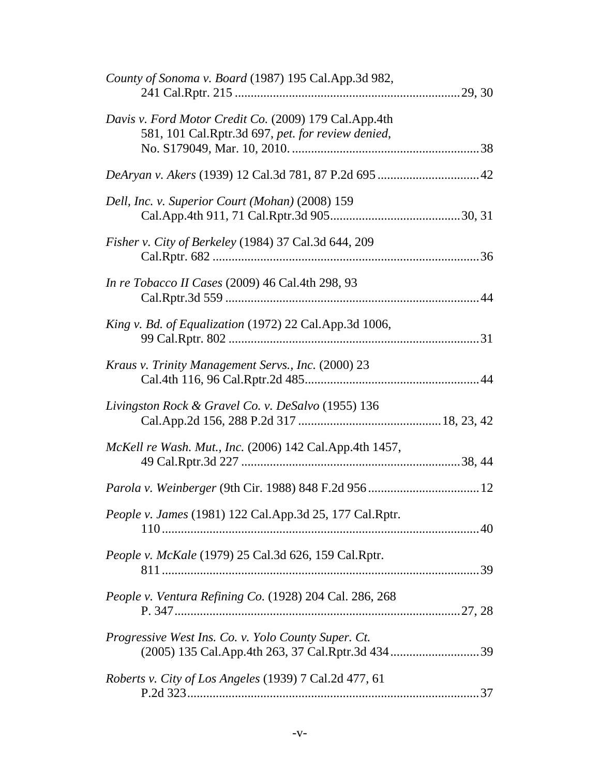| County of Sonoma v. Board (1987) 195 Cal.App.3d 982,                                                       |  |
|------------------------------------------------------------------------------------------------------------|--|
| Davis v. Ford Motor Credit Co. (2009) 179 Cal.App.4th<br>581, 101 Cal.Rptr.3d 697, pet. for review denied, |  |
|                                                                                                            |  |
| Dell, Inc. v. Superior Court (Mohan) (2008) 159                                                            |  |
| Fisher v. City of Berkeley (1984) 37 Cal.3d 644, 209                                                       |  |
| In re Tobacco II Cases (2009) 46 Cal.4th 298, 93                                                           |  |
| King v. Bd. of Equalization (1972) 22 Cal.App.3d 1006,                                                     |  |
| Kraus v. Trinity Management Servs., Inc. (2000) 23                                                         |  |
| Livingston Rock & Gravel Co. v. DeSalvo (1955) 136                                                         |  |
| McKell re Wash. Mut., Inc. (2006) 142 Cal.App.4th 1457,                                                    |  |
|                                                                                                            |  |
| People v. James (1981) 122 Cal.App.3d 25, 177 Cal.Rptr.                                                    |  |
| <i>People v. McKale</i> (1979) 25 Cal.3d 626, 159 Cal.Rptr.                                                |  |
| People v. Ventura Refining Co. (1928) 204 Cal. 286, 268                                                    |  |
| Progressive West Ins. Co. v. Yolo County Super. Ct.                                                        |  |
| Roberts v. City of Los Angeles (1939) 7 Cal.2d 477, 61                                                     |  |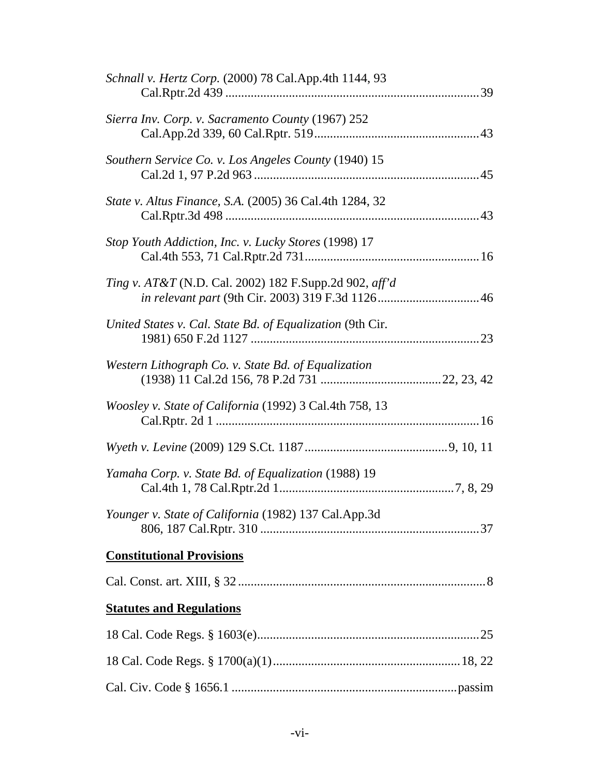| Schnall v. Hertz Corp. (2000) 78 Cal.App.4th 1144, 93                    |  |
|--------------------------------------------------------------------------|--|
| Sierra Inv. Corp. v. Sacramento County (1967) 252                        |  |
| Southern Service Co. v. Los Angeles County (1940) 15                     |  |
| State v. Altus Finance, S.A. (2005) 36 Cal.4th 1284, 32                  |  |
| Stop Youth Addiction, Inc. v. Lucky Stores (1998) 17                     |  |
| <i>Ting v. AT&amp;T</i> (N.D. Cal. 2002) 182 F.Supp.2d 902, <i>aff'd</i> |  |
| United States v. Cal. State Bd. of Equalization (9th Cir.                |  |
| Western Lithograph Co. v. State Bd. of Equalization                      |  |
| Woosley v. State of California (1992) 3 Cal.4th 758, 13                  |  |
|                                                                          |  |
| Yamaha Corp. v. State Bd. of Equalization (1988) 19                      |  |
| Younger v. State of California (1982) 137 Cal.App.3d                     |  |
| <b>Constitutional Provisions</b>                                         |  |
|                                                                          |  |
| <b>Statutes and Regulations</b>                                          |  |
|                                                                          |  |
|                                                                          |  |
|                                                                          |  |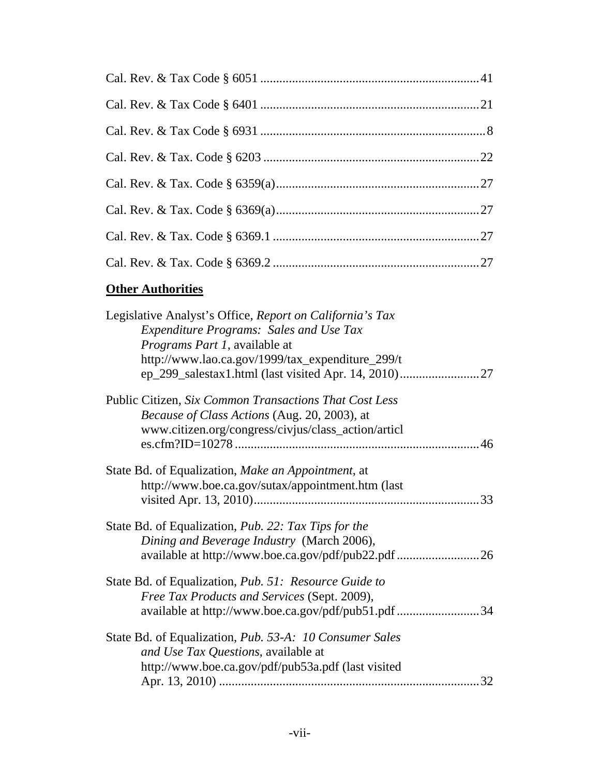# **Other Authorities**

| Legislative Analyst's Office, Report on California's Tax<br><b>Expenditure Programs: Sales and Use Tax</b><br><i>Programs Part 1</i> , available at<br>http://www.lao.ca.gov/1999/tax_expenditure_299/t |
|---------------------------------------------------------------------------------------------------------------------------------------------------------------------------------------------------------|
| Public Citizen, Six Common Transactions That Cost Less<br><i>Because of Class Actions (Aug. 20, 2003), at</i><br>www.citizen.org/congress/civjus/class_action/articl                                    |
| State Bd. of Equalization, Make an Appointment, at<br>http://www.boe.ca.gov/sutax/appointment.htm (last                                                                                                 |
| State Bd. of Equalization, <i>Pub. 22: Tax Tips for the</i><br>Dining and Beverage Industry (March 2006),                                                                                               |
| State Bd. of Equalization, <i>Pub. 51: Resource Guide to</i><br>Free Tax Products and Services (Sept. 2009),<br>available at http://www.boe.ca.gov/pdf/pub51.pdf 34                                     |
| State Bd. of Equalization, <i>Pub.</i> 53-A: 10 Consumer Sales<br>and Use Tax Questions, available at<br>http://www.boe.ca.gov/pdf/pub53a.pdf (last visited<br>32                                       |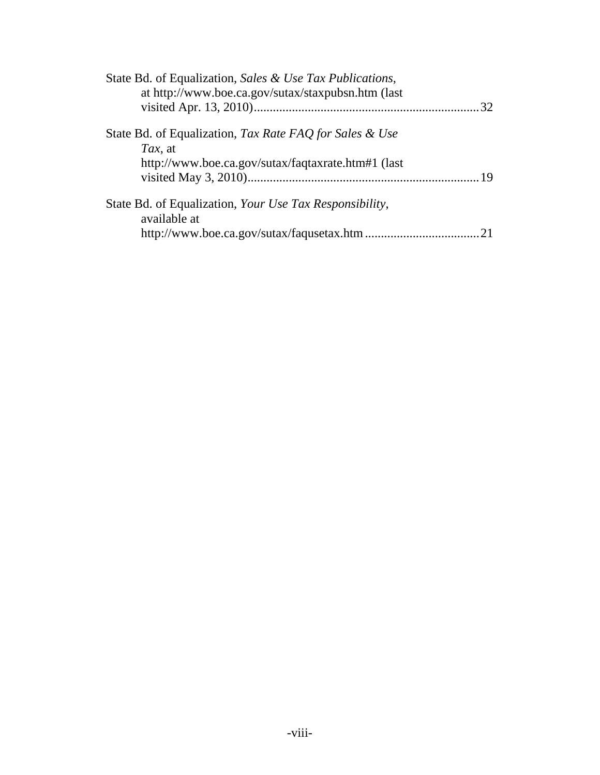| State Bd. of Equalization, Sales & Use Tax Publications,<br>at http://www.boe.ca.gov/sutax/staxpubsn.htm (last |  |
|----------------------------------------------------------------------------------------------------------------|--|
|                                                                                                                |  |
| State Bd. of Equalization, Tax Rate FAQ for Sales & Use<br>Tax, at                                             |  |
| http://www.boe.ca.gov/sutax/faqtaxrate.htm#1 (last                                                             |  |
| State Bd. of Equalization, Your Use Tax Responsibility,<br>available at                                        |  |
|                                                                                                                |  |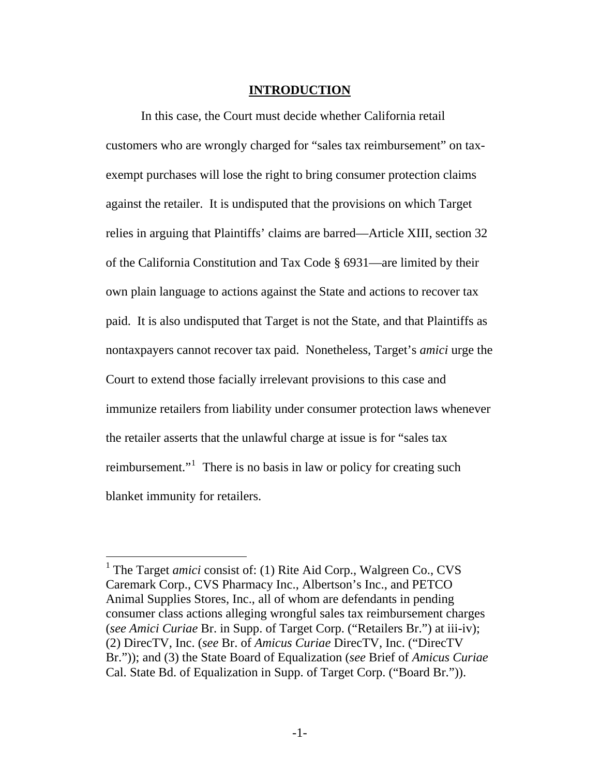#### **INTRODUCTION**

<span id="page-8-0"></span>In this case, the Court must decide whether California retail customers who are wrongly charged for "sales tax reimbursement" on taxexempt purchases will lose the right to bring consumer protection claims against the retailer. It is undisputed that the provisions on which Target relies in arguing that Plaintiffs' claims are barred—Article XIII, section 32 of the California Constitution and Tax Code § 6931—are limited by their own plain language to actions against the State and actions to recover tax paid. It is also undisputed that Target is not the State, and that Plaintiffs as nontaxpayers cannot recover tax paid. Nonetheless, Target's *amici* urge the Court to extend those facially irrelevant provisions to this case and immunize retailers from liability under consumer protection laws whenever the retailer asserts that the unlawful charge at issue is for "sales tax reimbursement."<sup>[1](#page-8-1)</sup> There is no basis in law or policy for creating such blanket immunity for retailers.

<span id="page-8-1"></span><sup>&</sup>lt;sup>1</sup> The Target *amici* consist of: (1) Rite Aid Corp., Walgreen Co., CVS Caremark Corp., CVS Pharmacy Inc., Albertson's Inc., and PETCO Animal Supplies Stores, Inc., all of whom are defendants in pending consumer class actions alleging wrongful sales tax reimbursement charges (*see Amici Curiae* Br. in Supp. of Target Corp. ("Retailers Br.") at iii-iv); (2) DirecTV, Inc. (*see* Br. of *Amicus Curiae* DirecTV, Inc. ("DirecTV Br.")); and (3) the State Board of Equalization (*see* Brief of *Amicus Curiae* Cal. State Bd. of Equalization in Supp. of Target Corp. ("Board Br.")).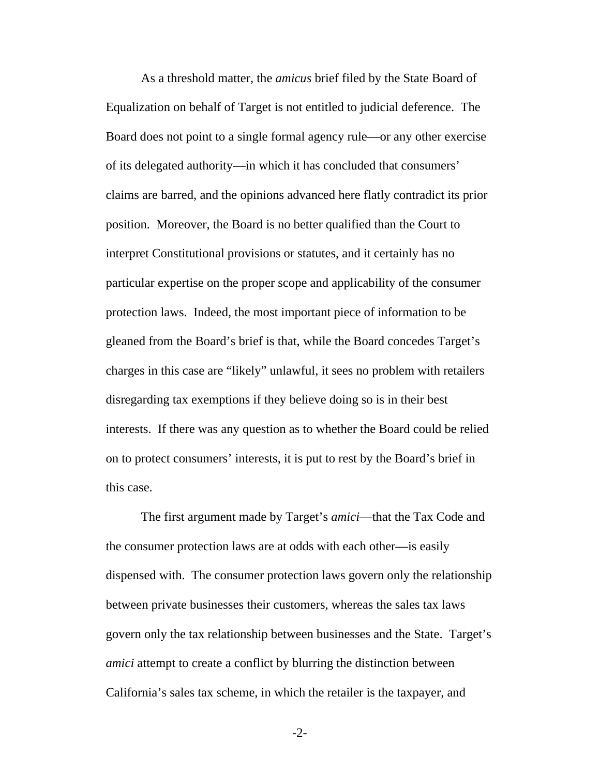As a threshold matter, the *amicus* brief filed by the State Board of Equalization on behalf of Target is not entitled to judicial deference. The Board does not point to a single formal agency rule—or any other exercise of its delegated authority—in which it has concluded that consumers' claims are barred, and the opinions advanced here flatly contradict its prior position. Moreover, the Board is no better qualified than the Court to interpret Constitutional provisions or statutes, and it certainly has no particular expertise on the proper scope and applicability of the consumer protection laws. Indeed, the most important piece of information to be gleaned from the Board's brief is that, while the Board concedes Target's charges in this case are "likely" unlawful, it sees no problem with retailers disregarding tax exemptions if they believe doing so is in their best interests. If there was any question as to whether the Board could be relied on to protect consumers' interests, it is put to rest by the Board's brief in this case.

The first argument made by Target's *amici*—that the Tax Code and the consumer protection laws are at odds with each other—is easily dispensed with. The consumer protection laws govern only the relationship between private businesses their customers, whereas the sales tax laws govern only the tax relationship between businesses and the State. Target's *amici* attempt to create a conflict by blurring the distinction between California's sales tax scheme, in which the retailer is the taxpayer, and

-2-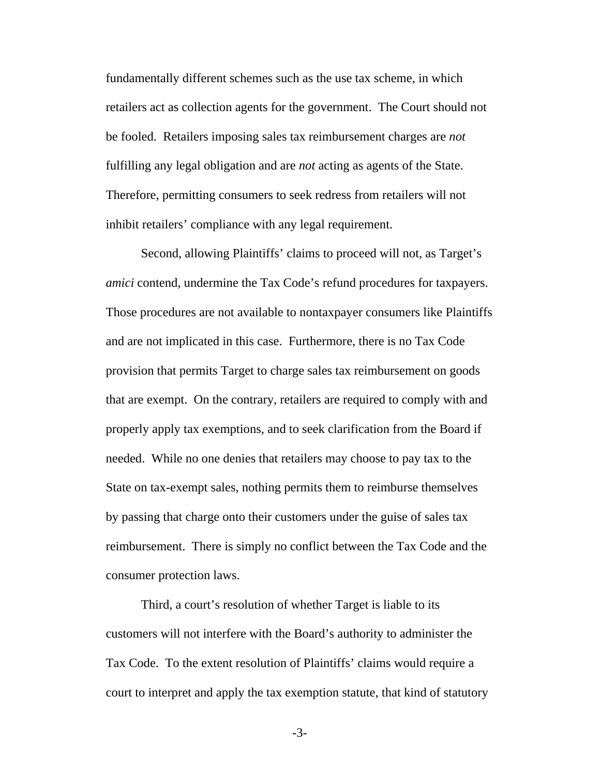fundamentally different schemes such as the use tax scheme, in which retailers act as collection agents for the government. The Court should not be fooled. Retailers imposing sales tax reimbursement charges are *not* fulfilling any legal obligation and are *not* acting as agents of the State. Therefore, permitting consumers to seek redress from retailers will not inhibit retailers' compliance with any legal requirement.

Second, allowing Plaintiffs' claims to proceed will not, as Target's *amici* contend, undermine the Tax Code's refund procedures for taxpayers. Those procedures are not available to nontaxpayer consumers like Plaintiffs and are not implicated in this case. Furthermore, there is no Tax Code provision that permits Target to charge sales tax reimbursement on goods that are exempt. On the contrary, retailers are required to comply with and properly apply tax exemptions, and to seek clarification from the Board if needed. While no one denies that retailers may choose to pay tax to the State on tax-exempt sales, nothing permits them to reimburse themselves by passing that charge onto their customers under the guise of sales tax reimbursement. There is simply no conflict between the Tax Code and the consumer protection laws.

Third, a court's resolution of whether Target is liable to its customers will not interfere with the Board's authority to administer the Tax Code. To the extent resolution of Plaintiffs' claims would require a court to interpret and apply the tax exemption statute, that kind of statutory

-3-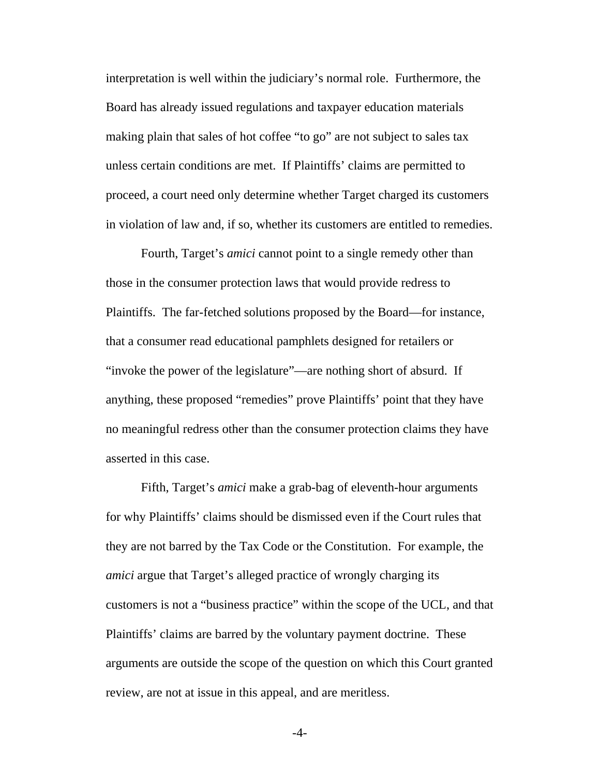interpretation is well within the judiciary's normal role. Furthermore, the Board has already issued regulations and taxpayer education materials making plain that sales of hot coffee "to go" are not subject to sales tax unless certain conditions are met. If Plaintiffs' claims are permitted to proceed, a court need only determine whether Target charged its customers in violation of law and, if so, whether its customers are entitled to remedies.

Fourth, Target's *amici* cannot point to a single remedy other than those in the consumer protection laws that would provide redress to Plaintiffs. The far-fetched solutions proposed by the Board—for instance, that a consumer read educational pamphlets designed for retailers or "invoke the power of the legislature"—are nothing short of absurd. If anything, these proposed "remedies" prove Plaintiffs' point that they have no meaningful redress other than the consumer protection claims they have asserted in this case.

Fifth, Target's *amici* make a grab-bag of eleventh-hour arguments for why Plaintiffs' claims should be dismissed even if the Court rules that they are not barred by the Tax Code or the Constitution. For example, the *amici* argue that Target's alleged practice of wrongly charging its customers is not a "business practice" within the scope of the UCL, and that Plaintiffs' claims are barred by the voluntary payment doctrine. These arguments are outside the scope of the question on which this Court granted review, are not at issue in this appeal, and are meritless.

-4-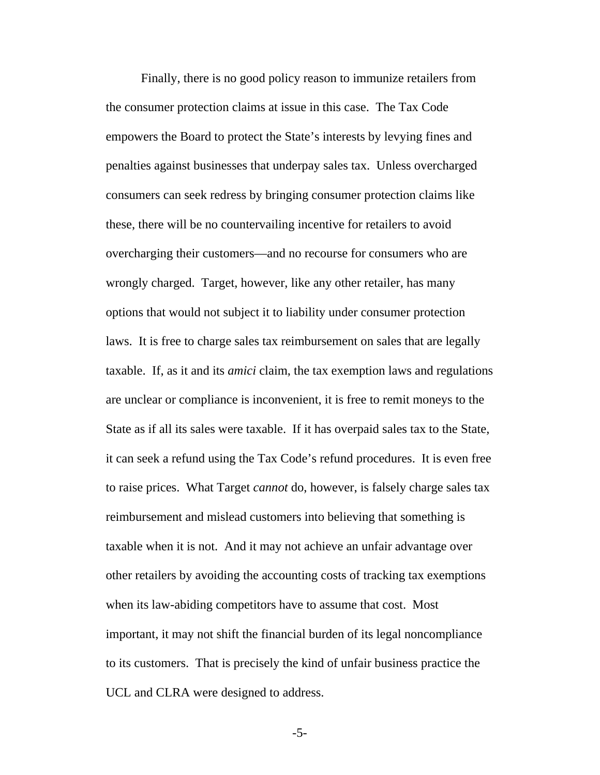Finally, there is no good policy reason to immunize retailers from the consumer protection claims at issue in this case. The Tax Code empowers the Board to protect the State's interests by levying fines and penalties against businesses that underpay sales tax. Unless overcharged consumers can seek redress by bringing consumer protection claims like these, there will be no countervailing incentive for retailers to avoid overcharging their customers—and no recourse for consumers who are wrongly charged. Target, however, like any other retailer, has many options that would not subject it to liability under consumer protection laws. It is free to charge sales tax reimbursement on sales that are legally taxable. If, as it and its *amici* claim, the tax exemption laws and regulations are unclear or compliance is inconvenient, it is free to remit moneys to the State as if all its sales were taxable. If it has overpaid sales tax to the State, it can seek a refund using the Tax Code's refund procedures. It is even free to raise prices. What Target *cannot* do, however, is falsely charge sales tax reimbursement and mislead customers into believing that something is taxable when it is not. And it may not achieve an unfair advantage over other retailers by avoiding the accounting costs of tracking tax exemptions when its law-abiding competitors have to assume that cost. Most important, it may not shift the financial burden of its legal noncompliance to its customers. That is precisely the kind of unfair business practice the UCL and CLRA were designed to address.

-5-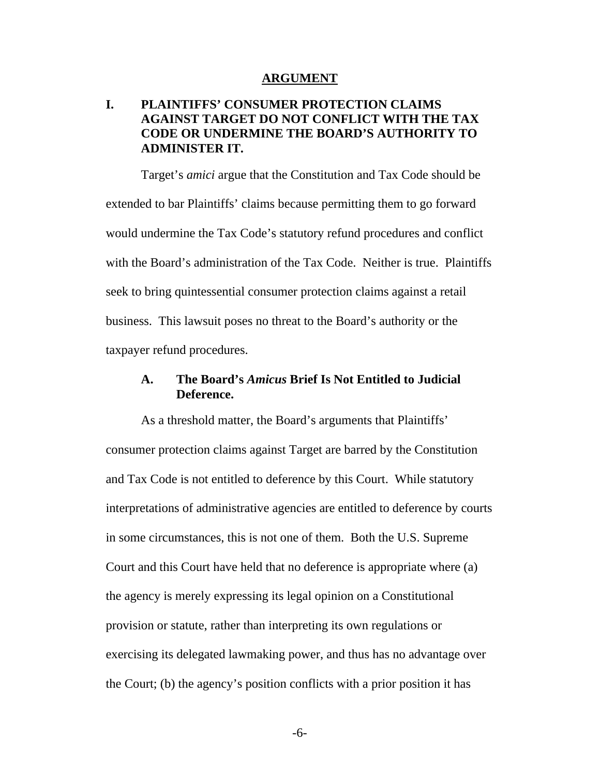#### **ARGUMENT**

# <span id="page-13-0"></span>**I. PLAINTIFFS' CONSUMER PROTECTION CLAIMS AGAINST TARGET DO NOT CONFLICT WITH THE TAX CODE OR UNDERMINE THE BOARD'S AUTHORITY TO ADMINISTER IT.**

Target's *amici* argue that the Constitution and Tax Code should be extended to bar Plaintiffs' claims because permitting them to go forward would undermine the Tax Code's statutory refund procedures and conflict with the Board's administration of the Tax Code. Neither is true. Plaintiffs seek to bring quintessential consumer protection claims against a retail business. This lawsuit poses no threat to the Board's authority or the taxpayer refund procedures.

# **A. The Board's** *Amicus* **Brief Is Not Entitled to Judicial Deference.**

As a threshold matter, the Board's arguments that Plaintiffs' consumer protection claims against Target are barred by the Constitution and Tax Code is not entitled to deference by this Court. While statutory interpretations of administrative agencies are entitled to deference by courts in some circumstances, this is not one of them. Both the U.S. Supreme Court and this Court have held that no deference is appropriate where (a) the agency is merely expressing its legal opinion on a Constitutional provision or statute, rather than interpreting its own regulations or exercising its delegated lawmaking power, and thus has no advantage over the Court; (b) the agency's position conflicts with a prior position it has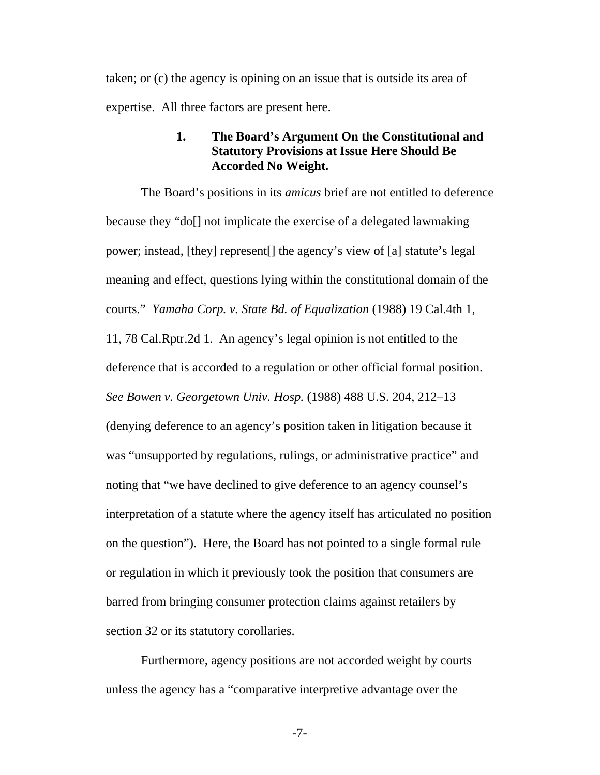<span id="page-14-0"></span>taken; or (c) the agency is opining on an issue that is outside its area of expertise. All three factors are present here.

#### **1. The Board's Argument On the Constitutional and Statutory Provisions at Issue Here Should Be Accorded No Weight.**

The Board's positions in its *amicus* brief are not entitled to deference because they "do[] not implicate the exercise of a delegated lawmaking power; instead, [they] represent[] the agency's view of [a] statute's legal meaning and effect, questions lying within the constitutional domain of the courts." *Yamaha Corp. v. State Bd. of Equalization* (1988) 19 Cal.4th 1, 11, 78 Cal.Rptr.2d 1. An agency's legal opinion is not entitled to the deference that is accorded to a regulation or other official formal position. *See Bowen v. Georgetown Univ. Hosp.* (1988) 488 U.S. 204, 212–13 (denying deference to an agency's position taken in litigation because it was "unsupported by regulations, rulings, or administrative practice" and noting that "we have declined to give deference to an agency counsel's interpretation of a statute where the agency itself has articulated no position on the question"). Here, the Board has not pointed to a single formal rule or regulation in which it previously took the position that consumers are barred from bringing consumer protection claims against retailers by section 32 or its statutory corollaries.

Furthermore, agency positions are not accorded weight by courts unless the agency has a "comparative interpretive advantage over the

-7-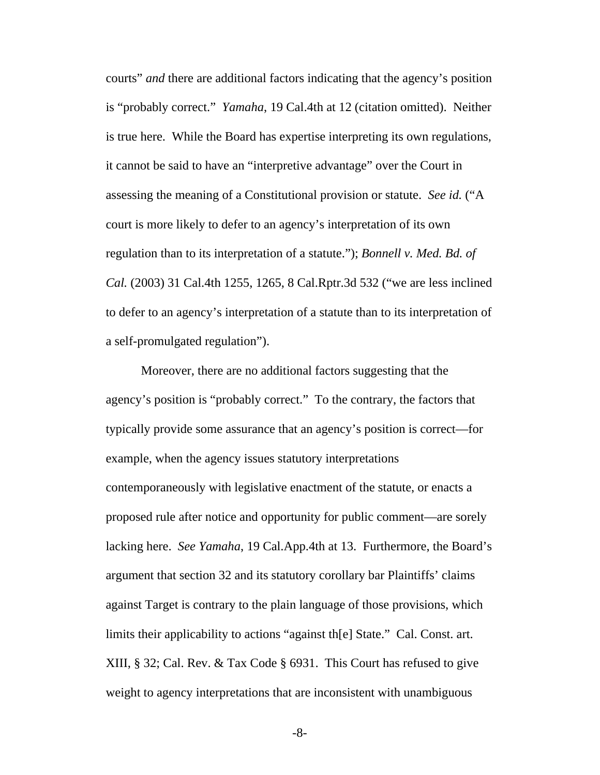courts" *and* there are additional factors indicating that the agency's position is "probably correct." *Yamaha*, 19 Cal.4th at 12 (citation omitted). Neither is true here. While the Board has expertise interpreting its own regulations, it cannot be said to have an "interpretive advantage" over the Court in assessing the meaning of a Constitutional provision or statute. *See id.* ("A court is more likely to defer to an agency's interpretation of its own regulation than to its interpretation of a statute."); *Bonnell v. Med. Bd. of Cal.* (2003) 31 Cal.4th 1255, 1265, 8 Cal.Rptr.3d 532 ("we are less inclined to defer to an agency's interpretation of a statute than to its interpretation of a self-promulgated regulation").

Moreover, there are no additional factors suggesting that the agency's position is "probably correct." To the contrary, the factors that typically provide some assurance that an agency's position is correct—for example, when the agency issues statutory interpretations contemporaneously with legislative enactment of the statute, or enacts a proposed rule after notice and opportunity for public comment—are sorely lacking here. *See Yamaha*, 19 Cal.App.4th at 13. Furthermore, the Board's argument that section 32 and its statutory corollary bar Plaintiffs' claims against Target is contrary to the plain language of those provisions, which limits their applicability to actions "against th[e] State." Cal. Const. art. XIII, § 32; Cal. Rev. & Tax Code § 6931. This Court has refused to give weight to agency interpretations that are inconsistent with unambiguous

-8-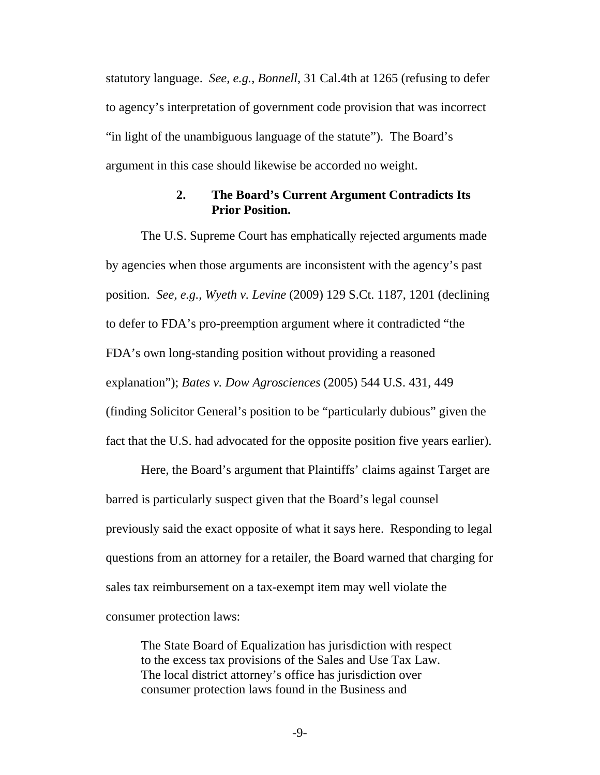<span id="page-16-0"></span>statutory language. *See, e.g.*, *Bonnell*, 31 Cal.4th at 1265 (refusing to defer to agency's interpretation of government code provision that was incorrect "in light of the unambiguous language of the statute"). The Board's argument in this case should likewise be accorded no weight.

#### **2. The Board's Current Argument Contradicts Its Prior Position.**

The U.S. Supreme Court has emphatically rejected arguments made by agencies when those arguments are inconsistent with the agency's past position. *See, e.g.*, *Wyeth v. Levine* (2009) 129 S.Ct. 1187, 1201 (declining to defer to FDA's pro-preemption argument where it contradicted "the FDA's own long-standing position without providing a reasoned explanation"); *Bates v. Dow Agrosciences* (2005) 544 U.S. 431, 449 (finding Solicitor General's position to be "particularly dubious" given the fact that the U.S. had advocated for the opposite position five years earlier).

Here, the Board's argument that Plaintiffs' claims against Target are barred is particularly suspect given that the Board's legal counsel previously said the exact opposite of what it says here. Responding to legal questions from an attorney for a retailer, the Board warned that charging for sales tax reimbursement on a tax-exempt item may well violate the consumer protection laws:

The State Board of Equalization has jurisdiction with respect to the excess tax provisions of the Sales and Use Tax Law. The local district attorney's office has jurisdiction over consumer protection laws found in the Business and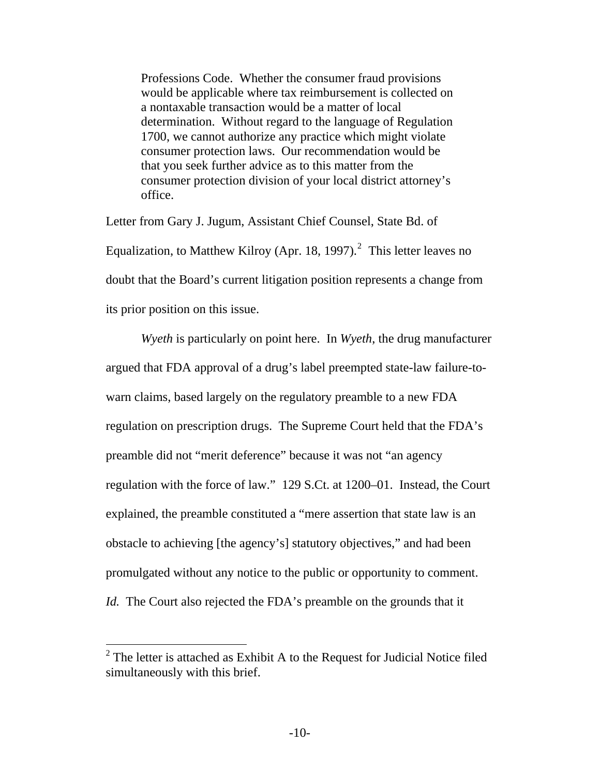Professions Code. Whether the consumer fraud provisions would be applicable where tax reimbursement is collected on a nontaxable transaction would be a matter of local determination. Without regard to the language of Regulation 1700, we cannot authorize any practice which might violate consumer protection laws. Our recommendation would be that you seek further advice as to this matter from the consumer protection division of your local district attorney's office.

Letter from Gary J. Jugum, Assistant Chief Counsel, State Bd. of Equalization, to Matthew Kilroy (Apr. 18, 1997).<sup>[2](#page-17-0)</sup> This letter leaves no doubt that the Board's current litigation position represents a change from its prior position on this issue.

*Wyeth* is particularly on point here. In *Wyeth*, the drug manufacturer argued that FDA approval of a drug's label preempted state-law failure-towarn claims, based largely on the regulatory preamble to a new FDA regulation on prescription drugs. The Supreme Court held that the FDA's preamble did not "merit deference" because it was not "an agency regulation with the force of law." 129 S.Ct. at 1200–01. Instead, the Court explained, the preamble constituted a "mere assertion that state law is an obstacle to achieving [the agency's] statutory objectives," and had been promulgated without any notice to the public or opportunity to comment. *Id.* The Court also rejected the FDA's preamble on the grounds that it

<span id="page-17-0"></span> $2^2$  The letter is attached as Exhibit A to the Request for Judicial Notice filed simultaneously with this brief.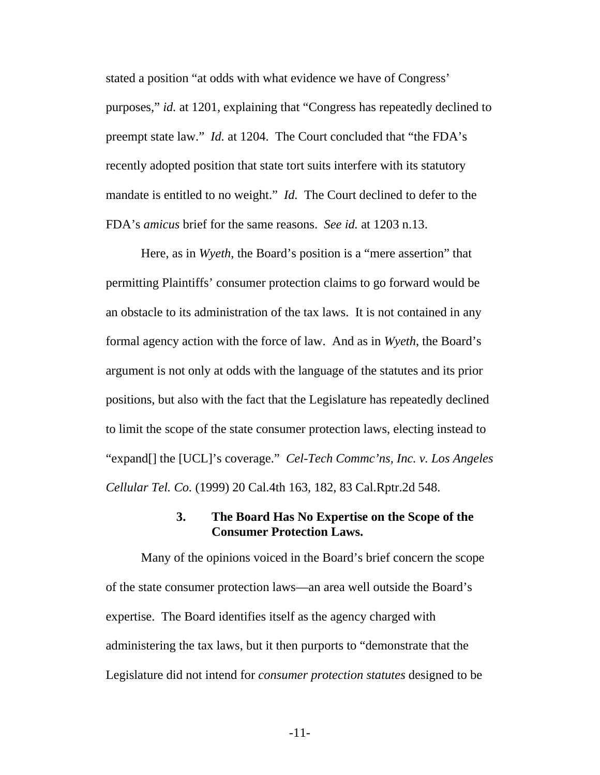<span id="page-18-0"></span>stated a position "at odds with what evidence we have of Congress' purposes," *id.* at 1201, explaining that "Congress has repeatedly declined to preempt state law." *Id.* at 1204. The Court concluded that "the FDA's recently adopted position that state tort suits interfere with its statutory mandate is entitled to no weight." *Id.* The Court declined to defer to the FDA's *amicus* brief for the same reasons. *See id.* at 1203 n.13.

Here, as in *Wyeth*, the Board's position is a "mere assertion" that permitting Plaintiffs' consumer protection claims to go forward would be an obstacle to its administration of the tax laws. It is not contained in any formal agency action with the force of law. And as in *Wyeth*, the Board's argument is not only at odds with the language of the statutes and its prior positions, but also with the fact that the Legislature has repeatedly declined to limit the scope of the state consumer protection laws, electing instead to "expand[] the [UCL]'s coverage." *Cel-Tech Commc'ns, Inc. v. Los Angeles Cellular Tel. Co.* (1999) 20 Cal.4th 163, 182, 83 Cal.Rptr.2d 548.

### **3. The Board Has No Expertise on the Scope of the Consumer Protection Laws.**

Many of the opinions voiced in the Board's brief concern the scope of the state consumer protection laws—an area well outside the Board's expertise. The Board identifies itself as the agency charged with administering the tax laws, but it then purports to "demonstrate that the Legislature did not intend for *consumer protection statutes* designed to be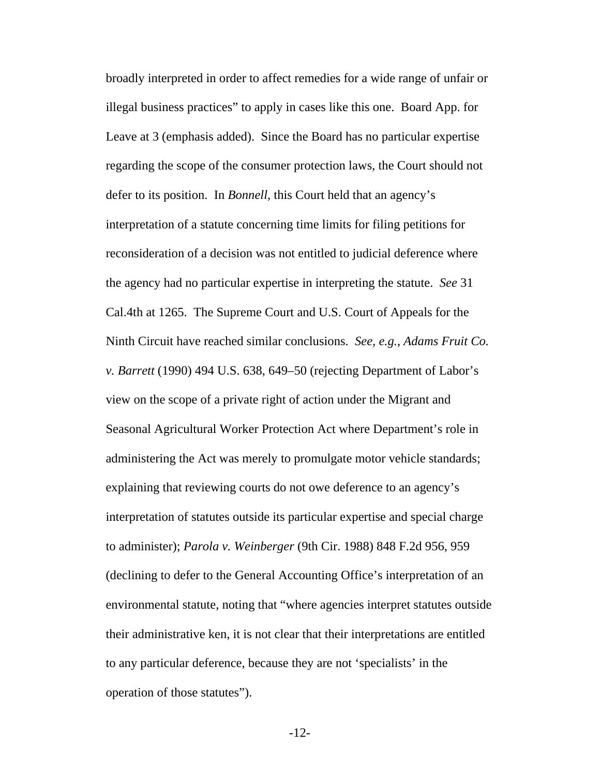broadly interpreted in order to affect remedies for a wide range of unfair or illegal business practices" to apply in cases like this one. Board App. for Leave at 3 (emphasis added). Since the Board has no particular expertise regarding the scope of the consumer protection laws, the Court should not defer to its position. In *Bonnell*, this Court held that an agency's interpretation of a statute concerning time limits for filing petitions for reconsideration of a decision was not entitled to judicial deference where the agency had no particular expertise in interpreting the statute. *See* 31 Cal.4th at 1265. The Supreme Court and U.S. Court of Appeals for the Ninth Circuit have reached similar conclusions. *See, e.g.*, *Adams Fruit Co. v. Barrett* (1990) 494 U.S. 638, 649–50 (rejecting Department of Labor's view on the scope of a private right of action under the Migrant and Seasonal Agricultural Worker Protection Act where Department's role in administering the Act was merely to promulgate motor vehicle standards; explaining that reviewing courts do not owe deference to an agency's interpretation of statutes outside its particular expertise and special charge to administer); *Parola v. Weinberger* (9th Cir. 1988) 848 F.2d 956, 959 (declining to defer to the General Accounting Office's interpretation of an environmental statute, noting that "where agencies interpret statutes outside their administrative ken, it is not clear that their interpretations are entitled to any particular deference, because they are not 'specialists' in the operation of those statutes").

-12-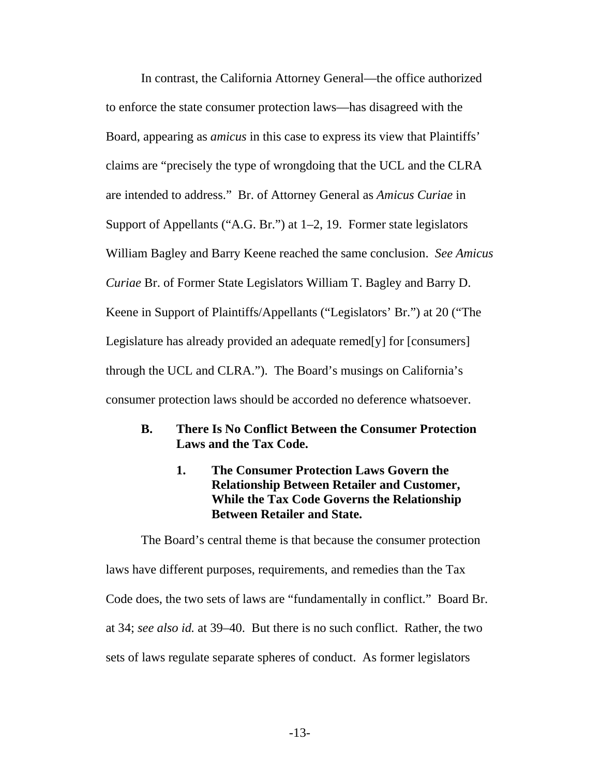<span id="page-20-0"></span>In contrast, the California Attorney General—the office authorized to enforce the state consumer protection laws—has disagreed with the Board, appearing as *amicus* in this case to express its view that Plaintiffs' claims are "precisely the type of wrongdoing that the UCL and the CLRA are intended to address." Br. of Attorney General as *Amicus Curiae* in Support of Appellants ("A.G. Br.") at 1–2, 19. Former state legislators William Bagley and Barry Keene reached the same conclusion. *See Amicus Curiae* Br. of Former State Legislators William T. Bagley and Barry D. Keene in Support of Plaintiffs/Appellants ("Legislators' Br.") at 20 ("The Legislature has already provided an adequate remed[y] for [consumers] through the UCL and CLRA."). The Board's musings on California's consumer protection laws should be accorded no deference whatsoever.

- **B. There Is No Conflict Between the Consumer Protection Laws and the Tax Code.** 
	- **1. The Consumer Protection Laws Govern the Relationship Between Retailer and Customer, While the Tax Code Governs the Relationship Between Retailer and State.**

The Board's central theme is that because the consumer protection laws have different purposes, requirements, and remedies than the Tax Code does, the two sets of laws are "fundamentally in conflict." Board Br. at 34; *see also id.* at 39–40. But there is no such conflict. Rather, the two sets of laws regulate separate spheres of conduct. As former legislators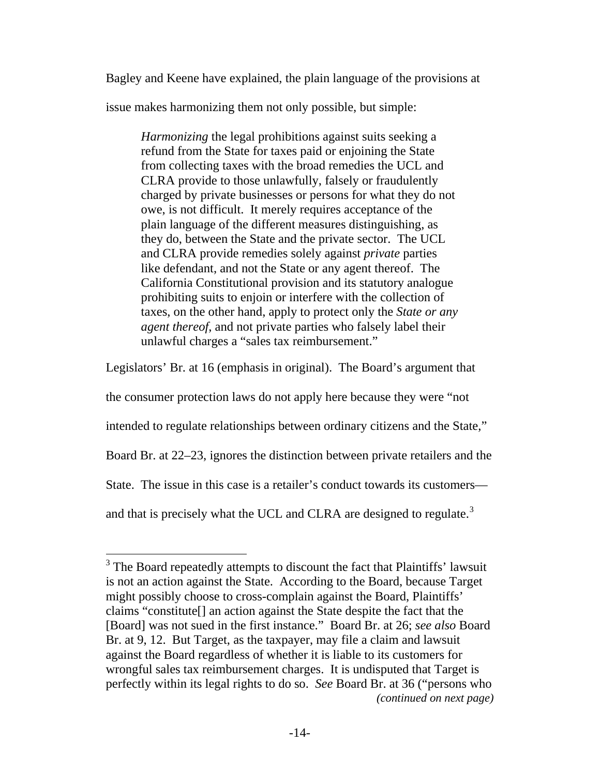Bagley and Keene have explained, the plain language of the provisions at

issue makes harmonizing them not only possible, but simple:

*Harmonizing* the legal prohibitions against suits seeking a refund from the State for taxes paid or enjoining the State from collecting taxes with the broad remedies the UCL and CLRA provide to those unlawfully, falsely or fraudulently charged by private businesses or persons for what they do not owe, is not difficult. It merely requires acceptance of the plain language of the different measures distinguishing, as they do, between the State and the private sector. The UCL and CLRA provide remedies solely against *private* parties like defendant, and not the State or any agent thereof. The California Constitutional provision and its statutory analogue prohibiting suits to enjoin or interfere with the collection of taxes, on the other hand, apply to protect only the *State or any agent thereof*, and not private parties who falsely label their unlawful charges a "sales tax reimbursement."

Legislators' Br. at 16 (emphasis in original). The Board's argument that

the consumer protection laws do not apply here because they were "not

intended to regulate relationships between ordinary citizens and the State,"

Board Br. at 22–23, ignores the distinction between private retailers and the

State. The issue in this case is a retailer's conduct towards its customers—

and that is precisely what the UCL and CLRA are designed to regulate. $3$ 

<span id="page-21-0"></span>*<sup>(</sup>continued on next page)*   $3$  The Board repeatedly attempts to discount the fact that Plaintiffs' lawsuit is not an action against the State. According to the Board, because Target might possibly choose to cross-complain against the Board, Plaintiffs' claims "constitute[] an action against the State despite the fact that the [Board] was not sued in the first instance." Board Br. at 26; *see also* Board Br. at 9, 12. But Target, as the taxpayer, may file a claim and lawsuit against the Board regardless of whether it is liable to its customers for wrongful sales tax reimbursement charges. It is undisputed that Target is perfectly within its legal rights to do so. *See* Board Br. at 36 ("persons who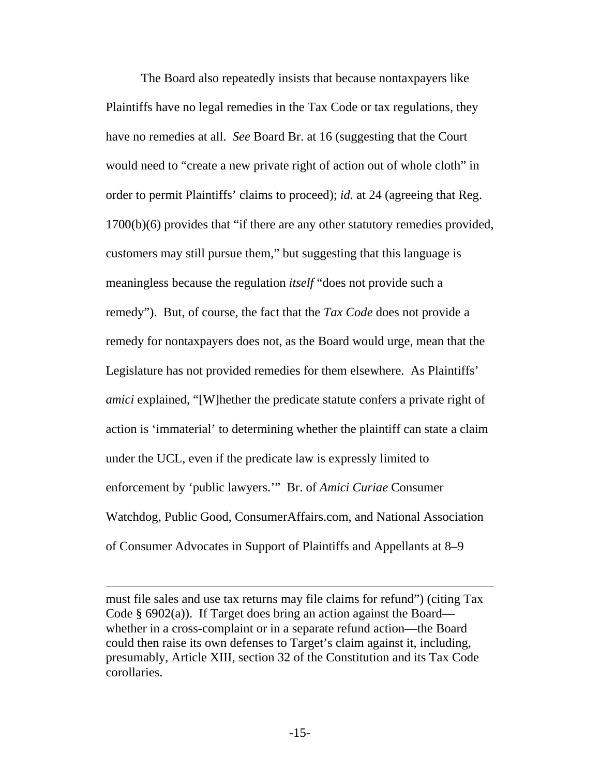The Board also repeatedly insists that because nontaxpayers like Plaintiffs have no legal remedies in the Tax Code or tax regulations, they have no remedies at all. *See* Board Br. at 16 (suggesting that the Court would need to "create a new private right of action out of whole cloth" in order to permit Plaintiffs' claims to proceed); *id.* at 24 (agreeing that Reg. 1700(b)(6) provides that "if there are any other statutory remedies provided, customers may still pursue them," but suggesting that this language is meaningless because the regulation *itself* "does not provide such a remedy"). But, of course, the fact that the *Tax Code* does not provide a remedy for nontaxpayers does not, as the Board would urge, mean that the Legislature has not provided remedies for them elsewhere. As Plaintiffs' *amici* explained, "[W]hether the predicate statute confers a private right of action is 'immaterial' to determining whether the plaintiff can state a claim under the UCL, even if the predicate law is expressly limited to enforcement by 'public lawyers.'" Br. of *Amici Curiae* Consumer Watchdog, Public Good, ConsumerAffairs.com, and National Association of Consumer Advocates in Support of Plaintiffs and Appellants at 8–9

must file sales and use tax returns may file claims for refund") (citing Tax Code  $\S$  6902(a)). If Target does bring an action against the Board whether in a cross-complaint or in a separate refund action—the Board could then raise its own defenses to Target's claim against it, including, presumably, Article XIII, section 32 of the Constitution and its Tax Code corollaries.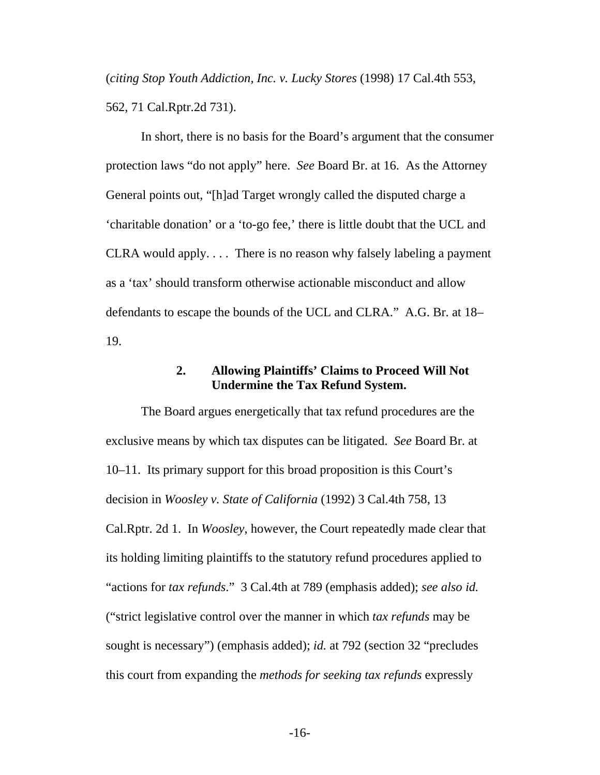<span id="page-23-0"></span>(*citing Stop Youth Addiction, Inc. v. Lucky Stores* (1998) 17 Cal.4th 553, 562, 71 Cal.Rptr.2d 731).

In short, there is no basis for the Board's argument that the consumer protection laws "do not apply" here. *See* Board Br. at 16. As the Attorney General points out, "[h]ad Target wrongly called the disputed charge a 'charitable donation' or a 'to-go fee,' there is little doubt that the UCL and CLRA would apply.... There is no reason why falsely labeling a payment as a 'tax' should transform otherwise actionable misconduct and allow defendants to escape the bounds of the UCL and CLRA." A.G. Br. at 18– 19.

#### **2. Allowing Plaintiffs' Claims to Proceed Will Not Undermine the Tax Refund System.**

The Board argues energetically that tax refund procedures are the exclusive means by which tax disputes can be litigated. *See* Board Br. at 10–11. Its primary support for this broad proposition is this Court's decision in *Woosley v. State of California* (1992) 3 Cal.4th 758, 13 Cal.Rptr. 2d 1. In *Woosley*, however, the Court repeatedly made clear that its holding limiting plaintiffs to the statutory refund procedures applied to "actions for *tax refunds*." 3 Cal.4th at 789 (emphasis added); *see also id.* ("strict legislative control over the manner in which *tax refunds* may be sought is necessary") (emphasis added); *id.* at 792 (section 32 "precludes this court from expanding the *methods for seeking tax refunds* expressly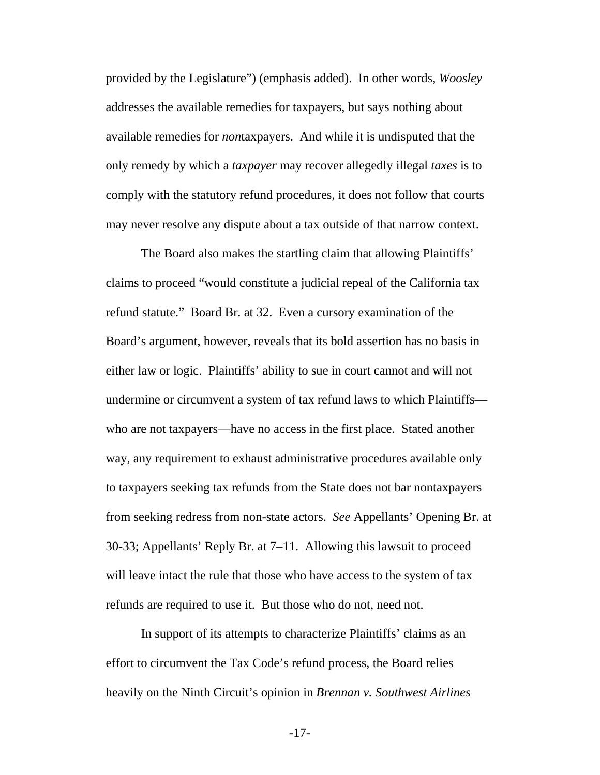provided by the Legislature") (emphasis added). In other words, *Woosley* addresses the available remedies for taxpayers, but says nothing about available remedies for *non*taxpayers. And while it is undisputed that the only remedy by which a *taxpayer* may recover allegedly illegal *taxes* is to comply with the statutory refund procedures, it does not follow that courts may never resolve any dispute about a tax outside of that narrow context.

The Board also makes the startling claim that allowing Plaintiffs' claims to proceed "would constitute a judicial repeal of the California tax refund statute." Board Br. at 32. Even a cursory examination of the Board's argument, however, reveals that its bold assertion has no basis in either law or logic. Plaintiffs' ability to sue in court cannot and will not undermine or circumvent a system of tax refund laws to which Plaintiffs who are not taxpayers—have no access in the first place. Stated another way, any requirement to exhaust administrative procedures available only to taxpayers seeking tax refunds from the State does not bar nontaxpayers from seeking redress from non-state actors. *See* Appellants' Opening Br. at 30-33; Appellants' Reply Br. at 7–11. Allowing this lawsuit to proceed will leave intact the rule that those who have access to the system of tax refunds are required to use it. But those who do not, need not.

In support of its attempts to characterize Plaintiffs' claims as an effort to circumvent the Tax Code's refund process, the Board relies heavily on the Ninth Circuit's opinion in *Brennan v. Southwest Airlines*

-17-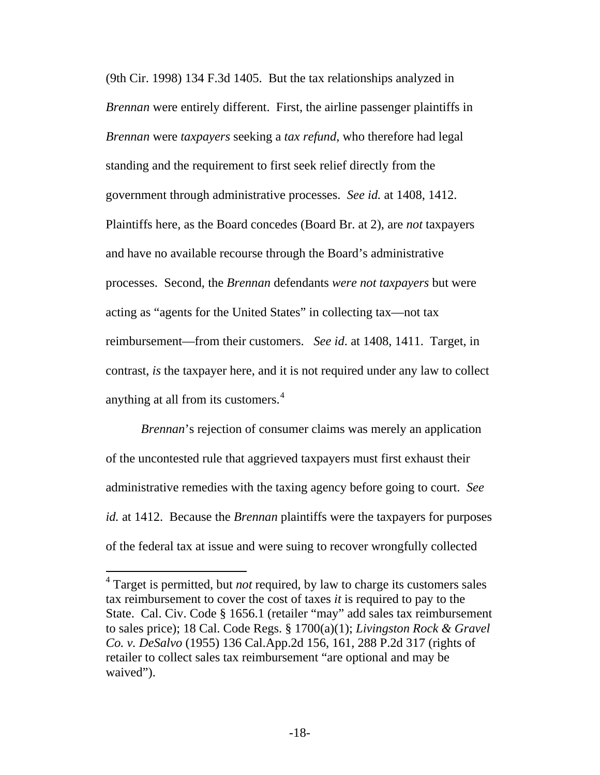(9th Cir. 1998) 134 F.3d 1405. But the tax relationships analyzed in *Brennan* were entirely different. First, the airline passenger plaintiffs in *Brennan* were *taxpayers* seeking a *tax refund*, who therefore had legal standing and the requirement to first seek relief directly from the government through administrative processes. *See id.* at 1408, 1412. Plaintiffs here, as the Board concedes (Board Br. at 2), are *not* taxpayers and have no available recourse through the Board's administrative processes. Second, the *Brennan* defendants *were not taxpayers* but were acting as "agents for the United States" in collecting tax—not tax reimbursement—from their customers. *See id*. at 1408, 1411. Target, in contrast, *is* the taxpayer here, and it is not required under any law to collect anything at all from its customers.<sup>[4](#page-25-0)</sup>

*Brennan*'s rejection of consumer claims was merely an application of the uncontested rule that aggrieved taxpayers must first exhaust their administrative remedies with the taxing agency before going to court. *See id.* at 1412. Because the *Brennan* plaintiffs were the taxpayers for purposes of the federal tax at issue and were suing to recover wrongfully collected

<span id="page-25-0"></span><sup>&</sup>lt;sup>4</sup> Target is permitted, but *not* required, by law to charge its customers sales tax reimbursement to cover the cost of taxes *it* is required to pay to the State. Cal. Civ. Code § 1656.1 (retailer "may" add sales tax reimbursement to sales price); 18 Cal. Code Regs. § 1700(a)(1); *Livingston Rock & Gravel Co. v. DeSalvo* (1955) 136 Cal.App.2d 156, 161, 288 P.2d 317 (rights of retailer to collect sales tax reimbursement "are optional and may be waived").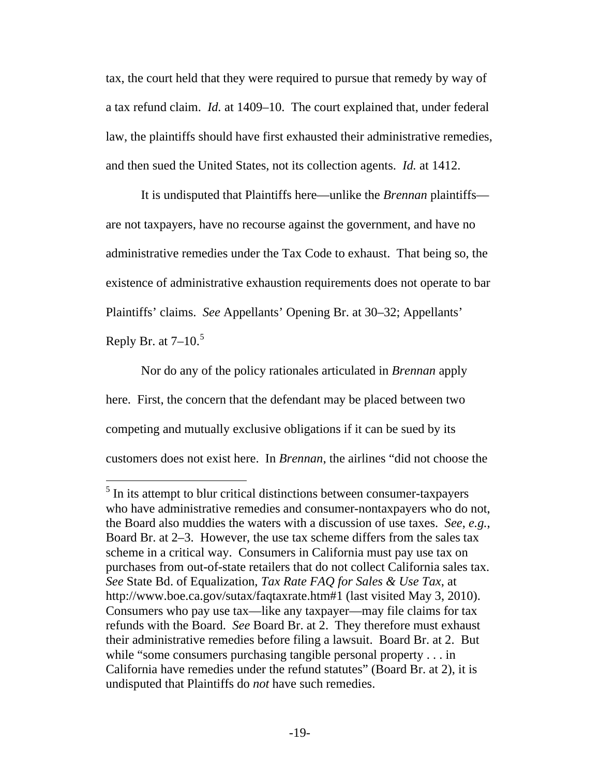tax, the court held that they were required to pursue that remedy by way of a tax refund claim. *Id.* at 1409–10. The court explained that, under federal law, the plaintiffs should have first exhausted their administrative remedies, and then sued the United States, not its collection agents. *Id.* at 1412.

It is undisputed that Plaintiffs here—unlike the *Brennan* plaintiffs are not taxpayers, have no recourse against the government, and have no administrative remedies under the Tax Code to exhaust. That being so, the existence of administrative exhaustion requirements does not operate to bar Plaintiffs' claims. *See* Appellants' Opening Br. at 30–32; Appellants' Reply Br. at  $7-10<sup>5</sup>$  $7-10<sup>5</sup>$  $7-10<sup>5</sup>$ 

Nor do any of the policy rationales articulated in *Brennan* apply here. First, the concern that the defendant may be placed between two competing and mutually exclusive obligations if it can be sued by its customers does not exist here. In *Brennan*, the airlines "did not choose the

<span id="page-26-0"></span> $<sup>5</sup>$  In its attempt to blur critical distinctions between consumer-taxpayers</sup> who have administrative remedies and consumer-nontaxpayers who do not, the Board also muddies the waters with a discussion of use taxes. *See*, *e.g.*, Board Br. at 2–3. However, the use tax scheme differs from the sales tax scheme in a critical way. Consumers in California must pay use tax on purchases from out-of-state retailers that do not collect California sales tax. *See* State Bd. of Equalization, *Tax Rate FAQ for Sales & Use Tax*, at http://www.boe.ca.gov/sutax/faqtaxrate.htm#1 (last visited May 3, 2010). Consumers who pay use tax—like any taxpayer—may file claims for tax refunds with the Board. *See* Board Br. at 2. They therefore must exhaust their administrative remedies before filing a lawsuit. Board Br. at 2. But while "some consumers purchasing tangible personal property... in California have remedies under the refund statutes" (Board Br. at 2), it is undisputed that Plaintiffs do *not* have such remedies.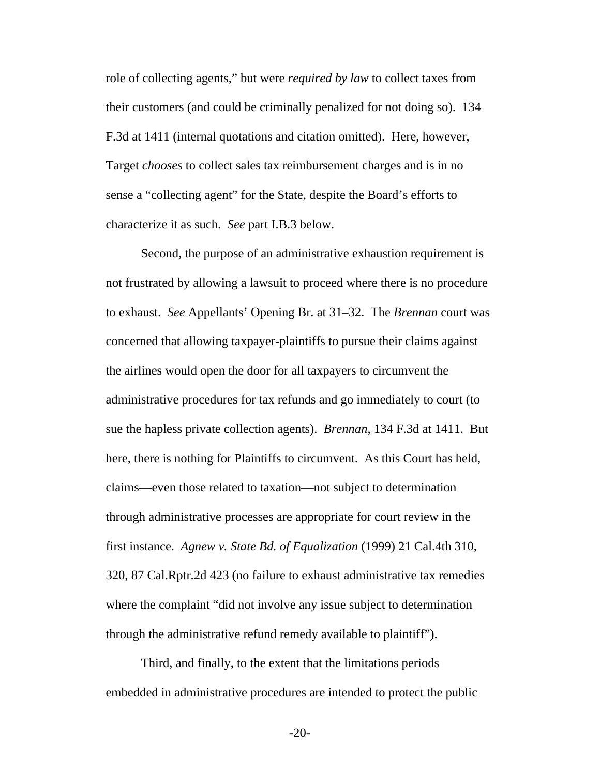role of collecting agents," but were *required by law* to collect taxes from their customers (and could be criminally penalized for not doing so). 134 F.3d at 1411 (internal quotations and citation omitted). Here, however, Target *chooses* to collect sales tax reimbursement charges and is in no sense a "collecting agent" for the State, despite the Board's efforts to characterize it as such. *See* part I[.B.3 below.](#page-28-1)

Second, the purpose of an administrative exhaustion requirement is not frustrated by allowing a lawsuit to proceed where there is no procedure to exhaust. *See* Appellants' Opening Br. at 31–32. The *Brennan* court was concerned that allowing taxpayer-plaintiffs to pursue their claims against the airlines would open the door for all taxpayers to circumvent the administrative procedures for tax refunds and go immediately to court (to sue the hapless private collection agents). *Brennan*, 134 F.3d at 1411. But here, there is nothing for Plaintiffs to circumvent. As this Court has held, claims—even those related to taxation—not subject to determination through administrative processes are appropriate for court review in the first instance. *Agnew v. State Bd. of Equalization* (1999) 21 Cal.4th 310, 320, 87 Cal.Rptr.2d 423 (no failure to exhaust administrative tax remedies where the complaint "did not involve any issue subject to determination through the administrative refund remedy available to plaintiff").

Third, and finally, to the extent that the limitations periods embedded in administrative procedures are intended to protect the public

-20-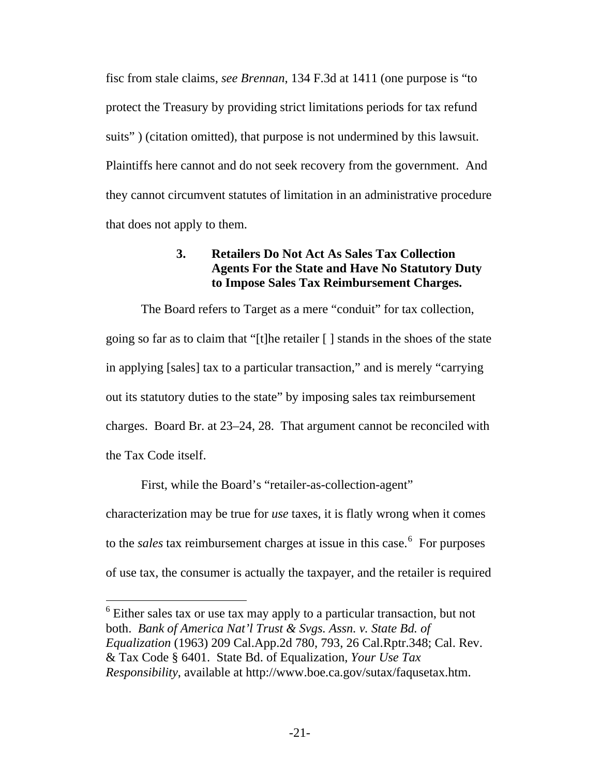<span id="page-28-0"></span>fisc from stale claims, *see Brennan*, 134 F.3d at 1411 (one purpose is "to protect the Treasury by providing strict limitations periods for tax refund suits") (citation omitted), that purpose is not undermined by this lawsuit. Plaintiffs here cannot and do not seek recovery from the government. And they cannot circumvent statutes of limitation in an administrative procedure that does not apply to them.

# **3. Retailers Do Not Act As Sales Tax Collection Agents For the State and Have No Statutory Duty to Impose Sales Tax Reimbursement Charges.**

<span id="page-28-1"></span>The Board refers to Target as a mere "conduit" for tax collection, going so far as to claim that "[t]he retailer [ ] stands in the shoes of the state in applying [sales] tax to a particular transaction," and is merely "carrying out its statutory duties to the state" by imposing sales tax reimbursement charges. Board Br. at 23–24, 28. That argument cannot be reconciled with the Tax Code itself.

First, while the Board's "retailer-as-collection-agent" characterization may be true for *use* taxes, it is flatly wrong when it comes to the *sales* tax reimbursement charges at issue in this case.<sup>[6](#page-28-2)</sup> For purposes of use tax, the consumer is actually the taxpayer, and the retailer is required

<span id="page-28-2"></span><sup>6</sup> Either sales tax or use tax may apply to a particular transaction, but not both. *Bank of America Nat'l Trust & Svgs. Assn. v. State Bd. of Equalization* (1963) 209 Cal.App.2d 780, 793, 26 Cal.Rptr.348; Cal. Rev. & Tax Code § 6401. State Bd. of Equalization, *Your Use Tax Responsibility*, available at http://www.boe.ca.gov/sutax/faqusetax.htm.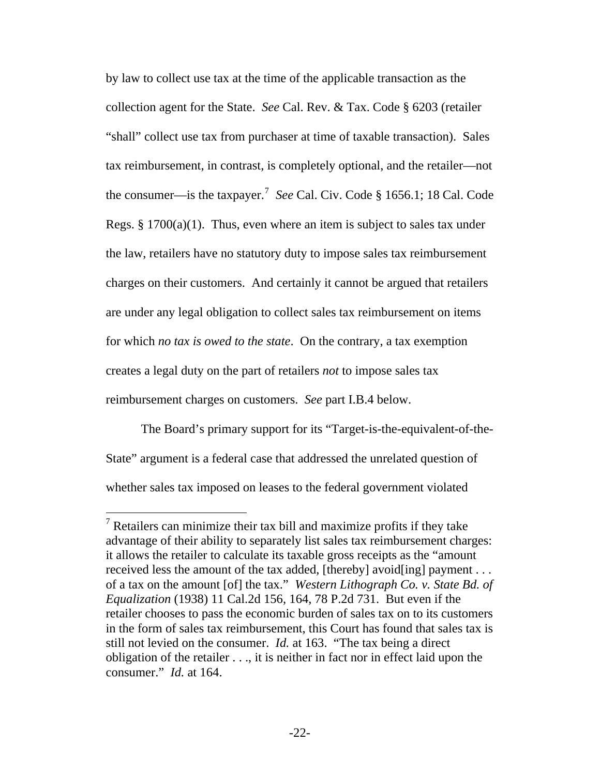by law to collect use tax at the time of the applicable transaction as the collection agent for the State. *See* Cal. Rev. & Tax. Code § 6203 (retailer "shall" collect use tax from purchaser at time of taxable transaction). Sales tax reimbursement, in contrast, is completely optional, and the retailer—not the consumer—is the taxpayer.[7](#page-29-0) *See* Cal. Civ. Code § 1656.1; 18 Cal. Code Regs.  $\S 1700(a)(1)$ . Thus, even where an item is subject to sales tax under the law, retailers have no statutory duty to impose sales tax reimbursement charges on their customers. And certainly it cannot be argued that retailers are under any legal obligation to collect sales tax reimbursement on items for which *no tax is owed to the state*. On the contrary, a tax exemption creates a legal duty on the part of retailers *not* to impose sales tax reimbursement charges on customers. *See* part I[.B.4](#page-30-1) below.

The Board's primary support for its "Target-is-the-equivalent-of-the-State" argument is a federal case that addressed the unrelated question of whether sales tax imposed on leases to the federal government violated

<span id="page-29-0"></span> $7$  Retailers can minimize their tax bill and maximize profits if they take advantage of their ability to separately list sales tax reimbursement charges: it allows the retailer to calculate its taxable gross receipts as the "amount received less the amount of the tax added, [thereby] avoid[ing] payment . . . of a tax on the amount [of] the tax." *Western Lithograph Co. v. State Bd. of Equalization* (1938) 11 Cal.2d 156, 164, 78 P.2d 731. But even if the retailer chooses to pass the economic burden of sales tax on to its customers in the form of sales tax reimbursement, this Court has found that sales tax is still not levied on the consumer. *Id.* at 163. "The tax being a direct obligation of the retailer . . ., it is neither in fact nor in effect laid upon the consumer." *Id.* at 164.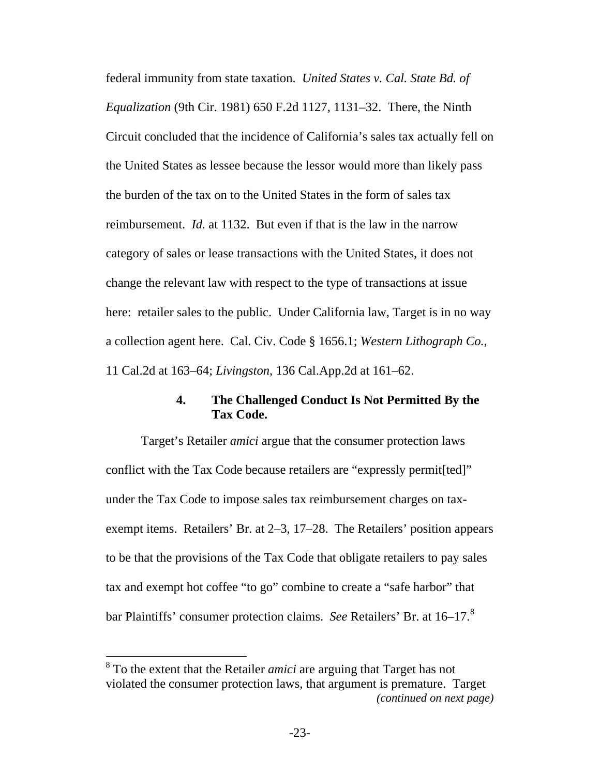<span id="page-30-0"></span>federal immunity from state taxation. *United States v. Cal. State Bd. of Equalization* (9th Cir. 1981) 650 F.2d 1127, 1131–32. There, the Ninth Circuit concluded that the incidence of California's sales tax actually fell on the United States as lessee because the lessor would more than likely pass the burden of the tax on to the United States in the form of sales tax reimbursement. *Id.* at 1132. But even if that is the law in the narrow category of sales or lease transactions with the United States, it does not change the relevant law with respect to the type of transactions at issue here: retailer sales to the public. Under California law, Target is in no way a collection agent here. Cal. Civ. Code § 1656.1; *Western Lithograph Co.*, 11 Cal.2d at 163–64; *Livingston*, 136 Cal.App.2d at 161–62.

## **4. The Challenged Conduct Is Not Permitted By the Tax Code.**

<span id="page-30-1"></span>Target's Retailer *amici* argue that the consumer protection laws conflict with the Tax Code because retailers are "expressly permit[ted]" under the Tax Code to impose sales tax reimbursement charges on taxexempt items. Retailers' Br. at 2–3, 17–28. The Retailers' position appears to be that the provisions of the Tax Code that obligate retailers to pay sales tax and exempt hot coffee "to go" combine to create a "safe harbor" that bar Plaintiffs' consumer protection claims. *See* Retailers' Br. at 16–17.<sup>[8](#page-30-2)</sup>

<span id="page-30-2"></span>*<sup>(</sup>continued on next page)*  8 To the extent that the Retailer *amici* are arguing that Target has not violated the consumer protection laws, that argument is premature. Target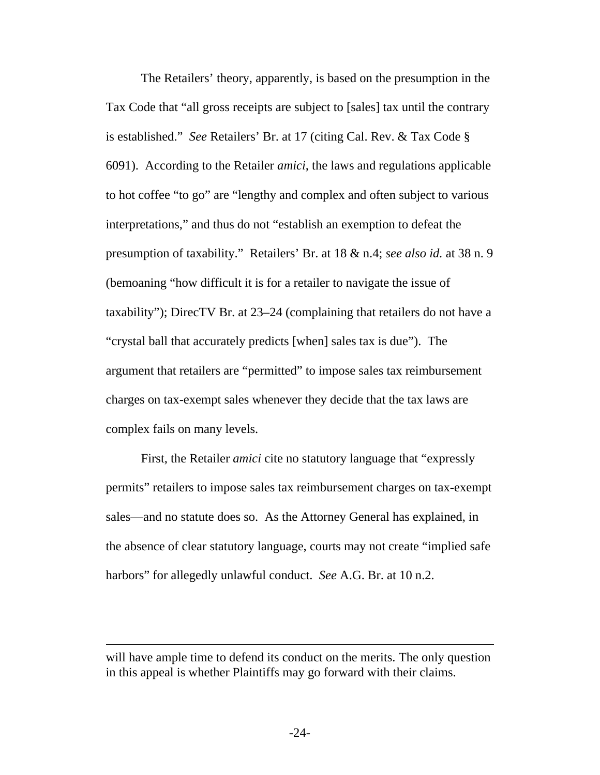The Retailers' theory, apparently, is based on the presumption in the Tax Code that "all gross receipts are subject to [sales] tax until the contrary is established." *See* Retailers' Br. at 17 (citing Cal. Rev. & Tax Code § 6091). According to the Retailer *amici*, the laws and regulations applicable to hot coffee "to go" are "lengthy and complex and often subject to various interpretations," and thus do not "establish an exemption to defeat the presumption of taxability." Retailers' Br. at 18 & n.4; *see also id.* at 38 n. 9 (bemoaning "how difficult it is for a retailer to navigate the issue of taxability"); DirecTV Br. at 23–24 (complaining that retailers do not have a "crystal ball that accurately predicts [when] sales tax is due"). The argument that retailers are "permitted" to impose sales tax reimbursement charges on tax-exempt sales whenever they decide that the tax laws are complex fails on many levels.

First, the Retailer *amici* cite no statutory language that "expressly permits" retailers to impose sales tax reimbursement charges on tax-exempt sales—and no statute does so. As the Attorney General has explained, in the absence of clear statutory language, courts may not create "implied safe harbors" for allegedly unlawful conduct. *See* A.G. Br. at 10 n.2.

will have ample time to defend its conduct on the merits. The only question in this appeal is whether Plaintiffs may go forward with their claims.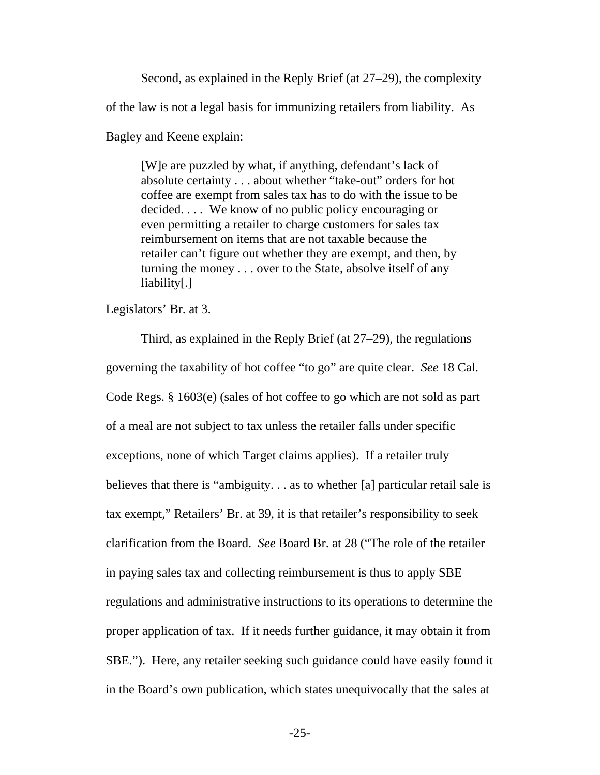Second, as explained in the Reply Brief (at 27–29), the complexity of the law is not a legal basis for immunizing retailers from liability. As Bagley and Keene explain:

[W]e are puzzled by what, if anything, defendant's lack of absolute certainty . . . about whether "take-out" orders for hot coffee are exempt from sales tax has to do with the issue to be decided. . . . We know of no public policy encouraging or even permitting a retailer to charge customers for sales tax reimbursement on items that are not taxable because the retailer can't figure out whether they are exempt, and then, by turning the money . . . over to the State, absolve itself of any liability[.]

Legislators' Br. at 3.

Third, as explained in the Reply Brief (at 27–29), the regulations governing the taxability of hot coffee "to go" are quite clear. *See* 18 Cal. Code Regs. § 1603(e) (sales of hot coffee to go which are not sold as part of a meal are not subject to tax unless the retailer falls under specific exceptions, none of which Target claims applies). If a retailer truly believes that there is "ambiguity. . . as to whether [a] particular retail sale is tax exempt," Retailers' Br. at 39, it is that retailer's responsibility to seek clarification from the Board. *See* Board Br. at 28 ("The role of the retailer in paying sales tax and collecting reimbursement is thus to apply SBE regulations and administrative instructions to its operations to determine the proper application of tax. If it needs further guidance, it may obtain it from SBE."). Here, any retailer seeking such guidance could have easily found it in the Board's own publication, which states unequivocally that the sales at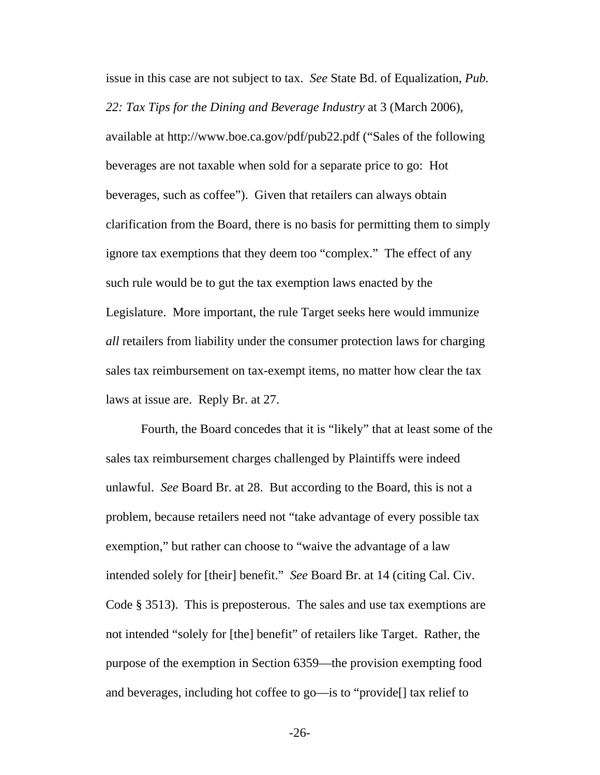issue in this case are not subject to tax. *See* State Bd. of Equalization, *Pub. 22: Tax Tips for the Dining and Beverage Industry* at 3 (March 2006), available at http://www.boe.ca.gov/pdf/pub22.pdf ("Sales of the following beverages are not taxable when sold for a separate price to go: Hot beverages, such as coffee"). Given that retailers can always obtain clarification from the Board, there is no basis for permitting them to simply ignore tax exemptions that they deem too "complex." The effect of any such rule would be to gut the tax exemption laws enacted by the Legislature. More important, the rule Target seeks here would immunize *all* retailers from liability under the consumer protection laws for charging sales tax reimbursement on tax-exempt items, no matter how clear the tax laws at issue are. Reply Br. at 27.

Fourth, the Board concedes that it is "likely" that at least some of the sales tax reimbursement charges challenged by Plaintiffs were indeed unlawful. *See* Board Br. at 28. But according to the Board, this is not a problem, because retailers need not "take advantage of every possible tax exemption," but rather can choose to "waive the advantage of a law intended solely for [their] benefit." *See* Board Br. at 14 (citing Cal. Civ. Code § 3513). This is preposterous. The sales and use tax exemptions are not intended "solely for [the] benefit" of retailers like Target. Rather, the purpose of the exemption in Section 6359—the provision exempting food and beverages, including hot coffee to go—is to "provide[] tax relief to

-26-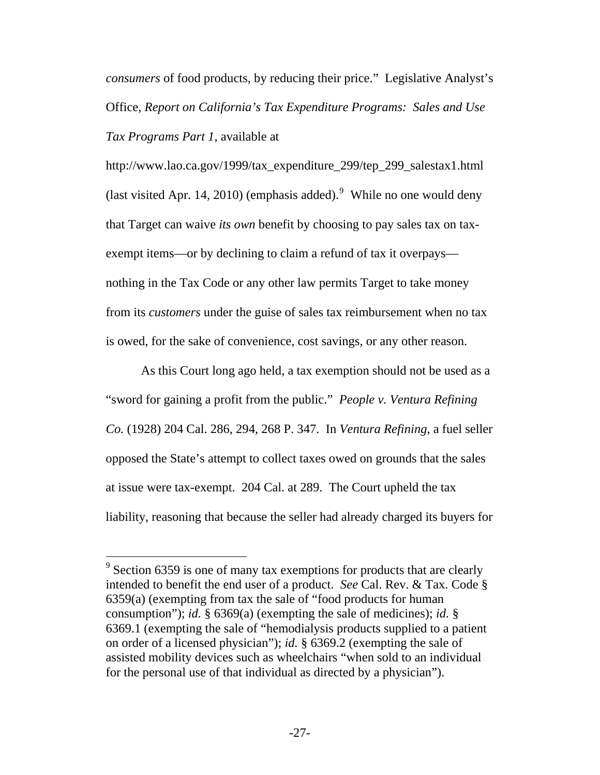*consumers* of food products, by reducing their price." Legislative Analyst's Office*, Report on California's Tax Expenditure Programs: Sales and Use Tax Programs Part 1*, available at

http://www.lao.ca.gov/1999/tax\_expenditure\_299/tep\_299\_salestax1.html (last visited Apr. 14, 2010) (emphasis added). While no one would deny that Target can waive *its own* benefit by choosing to pay sales tax on taxexempt items—or by declining to claim a refund of tax it overpays nothing in the Tax Code or any other law permits Target to take money from its *customers* under the guise of sales tax reimbursement when no tax is owed, for the sake of convenience, cost savings, or any other reason.

As this Court long ago held, a tax exemption should not be used as a "sword for gaining a profit from the public." *People v. Ventura Refining Co.* (1928) 204 Cal. 286, 294, 268 P. 347. In *Ventura Refining*, a fuel seller opposed the State's attempt to collect taxes owed on grounds that the sales at issue were tax-exempt. 204 Cal. at 289. The Court upheld the tax liability, reasoning that because the seller had already charged its buyers for

<span id="page-34-0"></span> $9^9$  Section 6359 is one of many tax exemptions for products that are clearly intended to benefit the end user of a product. *See* Cal. Rev. & Tax. Code § 6359(a) (exempting from tax the sale of "food products for human consumption"); *id.* § 6369(a) (exempting the sale of medicines); *id.* § 6369.1 (exempting the sale of "hemodialysis products supplied to a patient on order of a licensed physician"); *id.* § 6369.2 (exempting the sale of assisted mobility devices such as wheelchairs "when sold to an individual for the personal use of that individual as directed by a physician").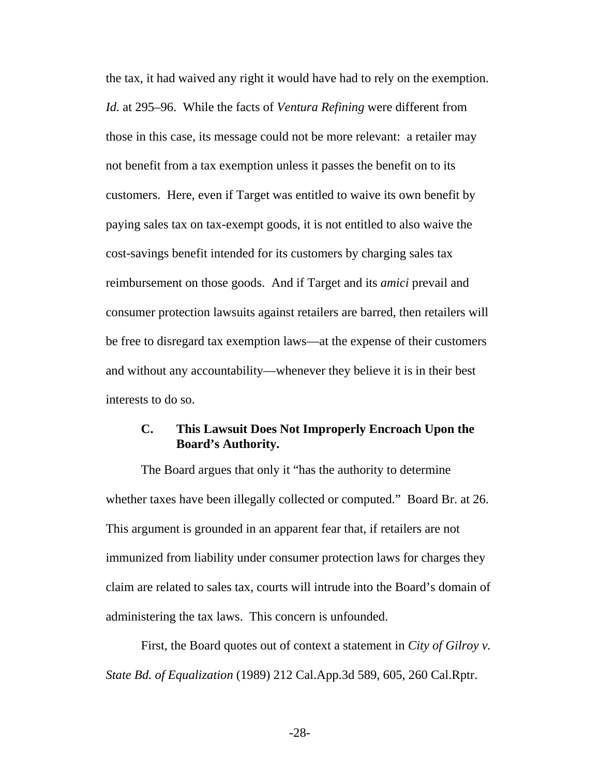<span id="page-35-0"></span>the tax, it had waived any right it would have had to rely on the exemption. *Id.* at 295–96. While the facts of *Ventura Refining* were different from those in this case, its message could not be more relevant: a retailer may not benefit from a tax exemption unless it passes the benefit on to its customers. Here, even if Target was entitled to waive its own benefit by paying sales tax on tax-exempt goods, it is not entitled to also waive the cost-savings benefit intended for its customers by charging sales tax reimbursement on those goods. And if Target and its *amici* prevail and consumer protection lawsuits against retailers are barred, then retailers will be free to disregard tax exemption laws—at the expense of their customers and without any accountability—whenever they believe it is in their best interests to do so.

# **C. This Lawsuit Does Not Improperly Encroach Upon the Board's Authority.**

The Board argues that only it "has the authority to determine whether taxes have been illegally collected or computed." Board Br. at 26. This argument is grounded in an apparent fear that, if retailers are not immunized from liability under consumer protection laws for charges they claim are related to sales tax, courts will intrude into the Board's domain of administering the tax laws. This concern is unfounded.

First, the Board quotes out of context a statement in *City of Gilroy v. State Bd. of Equalization* (1989) 212 Cal.App.3d 589, 605, 260 Cal.Rptr.

-28-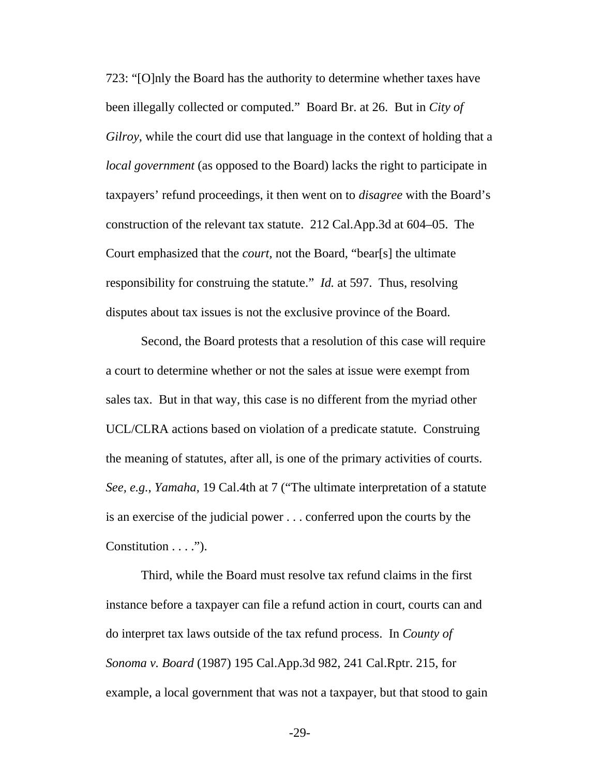723: "[O]nly the Board has the authority to determine whether taxes have been illegally collected or computed." Board Br. at 26. But in *City of Gilroy*, while the court did use that language in the context of holding that a *local government* (as opposed to the Board) lacks the right to participate in taxpayers' refund proceedings, it then went on to *disagree* with the Board's construction of the relevant tax statute. 212 Cal.App.3d at 604–05. The Court emphasized that the *court*, not the Board, "bear[s] the ultimate responsibility for construing the statute." *Id.* at 597. Thus, resolving disputes about tax issues is not the exclusive province of the Board.

Second, the Board protests that a resolution of this case will require a court to determine whether or not the sales at issue were exempt from sales tax. But in that way, this case is no different from the myriad other UCL/CLRA actions based on violation of a predicate statute. Construing the meaning of statutes, after all, is one of the primary activities of courts. *See, e.g.*, *Yamaha*, 19 Cal.4th at 7 ("The ultimate interpretation of a statute is an exercise of the judicial power . . . conferred upon the courts by the Constitution . . . .").

Third, while the Board must resolve tax refund claims in the first instance before a taxpayer can file a refund action in court, courts can and do interpret tax laws outside of the tax refund process. In *County of Sonoma v. Board* (1987) 195 Cal.App.3d 982, 241 Cal.Rptr. 215, for example, a local government that was not a taxpayer, but that stood to gain

-29-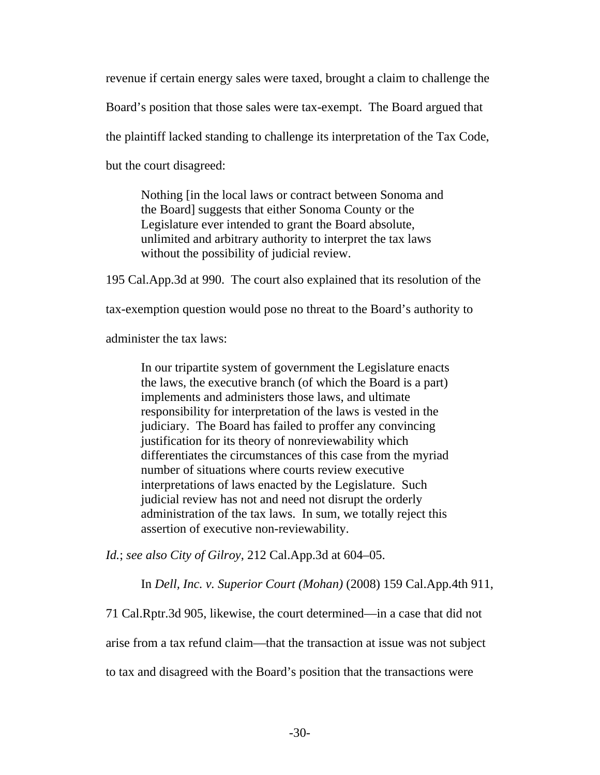revenue if certain energy sales were taxed, brought a claim to challenge the Board's position that those sales were tax-exempt. The Board argued that the plaintiff lacked standing to challenge its interpretation of the Tax Code, but the court disagreed:

Nothing [in the local laws or contract between Sonoma and the Board] suggests that either Sonoma County or the Legislature ever intended to grant the Board absolute, unlimited and arbitrary authority to interpret the tax laws without the possibility of judicial review.

195 Cal.App.3d at 990. The court also explained that its resolution of the

tax-exemption question would pose no threat to the Board's authority to

administer the tax laws:

In our tripartite system of government the Legislature enacts the laws, the executive branch (of which the Board is a part) implements and administers those laws, and ultimate responsibility for interpretation of the laws is vested in the judiciary. The Board has failed to proffer any convincing justification for its theory of nonreviewability which differentiates the circumstances of this case from the myriad number of situations where courts review executive interpretations of laws enacted by the Legislature. Such judicial review has not and need not disrupt the orderly administration of the tax laws. In sum, we totally reject this assertion of executive non-reviewability.

*Id.*; *see also City of Gilroy*, 212 Cal.App.3d at 604–05.

In *Dell, Inc. v. Superior Court (Mohan)* (2008) 159 Cal.App.4th 911,

71 Cal.Rptr.3d 905, likewise, the court determined—in a case that did not

arise from a tax refund claim—that the transaction at issue was not subject

to tax and disagreed with the Board's position that the transactions were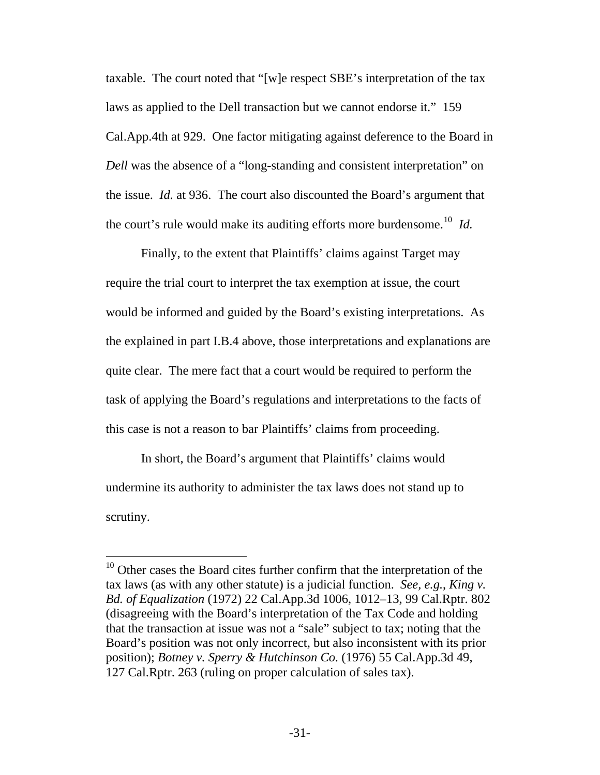taxable. The court noted that "[w]e respect SBE's interpretation of the tax laws as applied to the Dell transaction but we cannot endorse it." 159 Cal.App.4th at 929. One factor mitigating against deference to the Board in *Dell* was the absence of a "long-standing and consistent interpretation" on the issue. *Id.* at 936. The court also discounted the Board's argument that the court's rule would make its auditing efforts more burdensome.<sup>[10](#page-38-0)</sup> *Id.* 

Finally, to the extent that Plaintiffs' claims against Target may require the trial court to interpret the tax exemption at issue, the court would be informed and guided by the Board's existing interpretations. As the explained in part I[.B.4](#page-30-1) above, those interpretations and explanations are quite clear. The mere fact that a court would be required to perform the task of applying the Board's regulations and interpretations to the facts of this case is not a reason to bar Plaintiffs' claims from proceeding.

In short, the Board's argument that Plaintiffs' claims would undermine its authority to administer the tax laws does not stand up to scrutiny.

<span id="page-38-0"></span> $10$  Other cases the Board cites further confirm that the interpretation of the tax laws (as with any other statute) is a judicial function. *See, e.g.*, *King v. Bd. of Equalization* (1972) 22 Cal.App.3d 1006, 1012–13, 99 Cal.Rptr. 802 (disagreeing with the Board's interpretation of the Tax Code and holding that the transaction at issue was not a "sale" subject to tax; noting that the Board's position was not only incorrect, but also inconsistent with its prior position); *Botney v. Sperry & Hutchinson Co.* (1976) 55 Cal.App.3d 49, 127 Cal.Rptr. 263 (ruling on proper calculation of sales tax).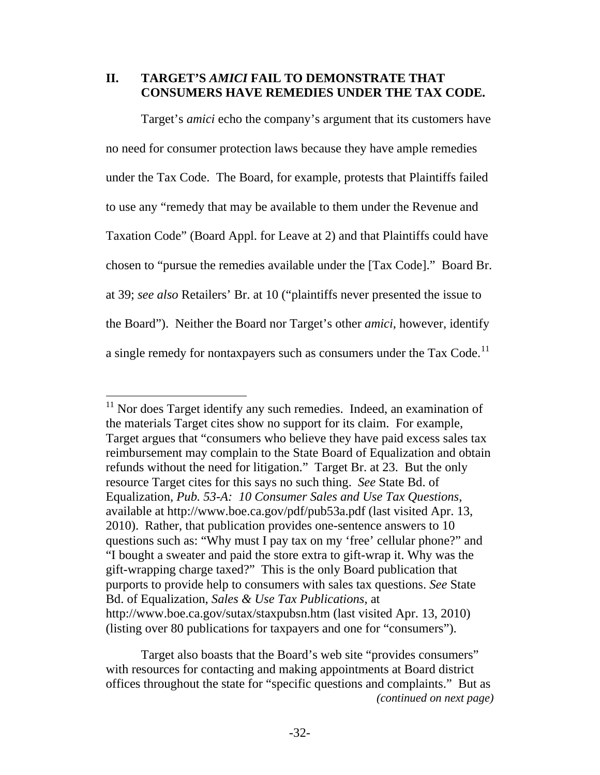#### <span id="page-39-0"></span>**II. TARGET'S** *AMICI* **FAIL TO DEMONSTRATE THAT CONSUMERS HAVE REMEDIES UNDER THE TAX CODE.**

Target's *amici* echo the company's argument that its customers have no need for consumer protection laws because they have ample remedies under the Tax Code. The Board, for example, protests that Plaintiffs failed to use any "remedy that may be available to them under the Revenue and Taxation Code" (Board Appl. for Leave at 2) and that Plaintiffs could have chosen to "pursue the remedies available under the [Tax Code]." Board Br. at 39; *see also* Retailers' Br. at 10 ("plaintiffs never presented the issue to the Board"). Neither the Board nor Target's other *amici*, however, identify a single remedy for nontaxpayers such as consumers under the Tax Code.<sup>[11](#page-39-1)</sup>

<span id="page-39-1"></span> $11$  Nor does Target identify any such remedies. Indeed, an examination of the materials Target cites show no support for its claim. For example, Target argues that "consumers who believe they have paid excess sales tax reimbursement may complain to the State Board of Equalization and obtain refunds without the need for litigation." Target Br. at 23. But the only resource Target cites for this says no such thing. *See* State Bd. of Equalization, *Pub. 53-A: 10 Consumer Sales and Use Tax Questions*, available at http://www.boe.ca.gov/pdf/pub53a.pdf (last visited Apr. 13, 2010). Rather, that publication provides one-sentence answers to 10 questions such as: "Why must I pay tax on my 'free' cellular phone?" and "I bought a sweater and paid the store extra to gift-wrap it. Why was the gift-wrapping charge taxed?" This is the only Board publication that purports to provide help to consumers with sales tax questions. *See* State Bd. of Equalization, *Sales & Use Tax Publications*, at http://www.boe.ca.gov/sutax/staxpubsn.htm (last visited Apr. 13, 2010) (listing over 80 publications for taxpayers and one for "consumers").

*<sup>(</sup>continued on next page)*  Target also boasts that the Board's web site "provides consumers" with resources for contacting and making appointments at Board district offices throughout the state for "specific questions and complaints." But as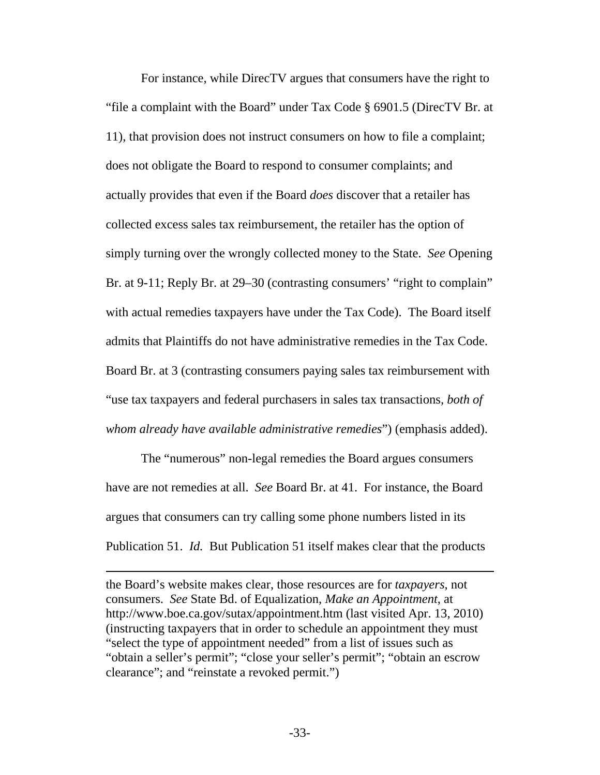For instance, while DirecTV argues that consumers have the right to "file a complaint with the Board" under Tax Code § 6901.5 (DirecTV Br. at 11), that provision does not instruct consumers on how to file a complaint; does not obligate the Board to respond to consumer complaints; and actually provides that even if the Board *does* discover that a retailer has collected excess sales tax reimbursement, the retailer has the option of simply turning over the wrongly collected money to the State. *See* Opening Br. at 9-11; Reply Br. at 29–30 (contrasting consumers' "right to complain" with actual remedies taxpayers have under the Tax Code). The Board itself admits that Plaintiffs do not have administrative remedies in the Tax Code. Board Br. at 3 (contrasting consumers paying sales tax reimbursement with "use tax taxpayers and federal purchasers in sales tax transactions, *both of whom already have available administrative remedies*") (emphasis added).

The "numerous" non-legal remedies the Board argues consumers have are not remedies at all. *See* Board Br. at 41. For instance, the Board argues that consumers can try calling some phone numbers listed in its Publication 51. *Id.* But Publication 51 itself makes clear that the products

the Board's website makes clear, those resources are for *taxpayers*, not consumers. *See* State Bd. of Equalization, *Make an Appointment*, at http://www.boe.ca.gov/sutax/appointment.htm (last visited Apr. 13, 2010) (instructing taxpayers that in order to schedule an appointment they must "select the type of appointment needed" from a list of issues such as "obtain a seller's permit"; "close your seller's permit"; "obtain an escrow clearance"; and "reinstate a revoked permit.")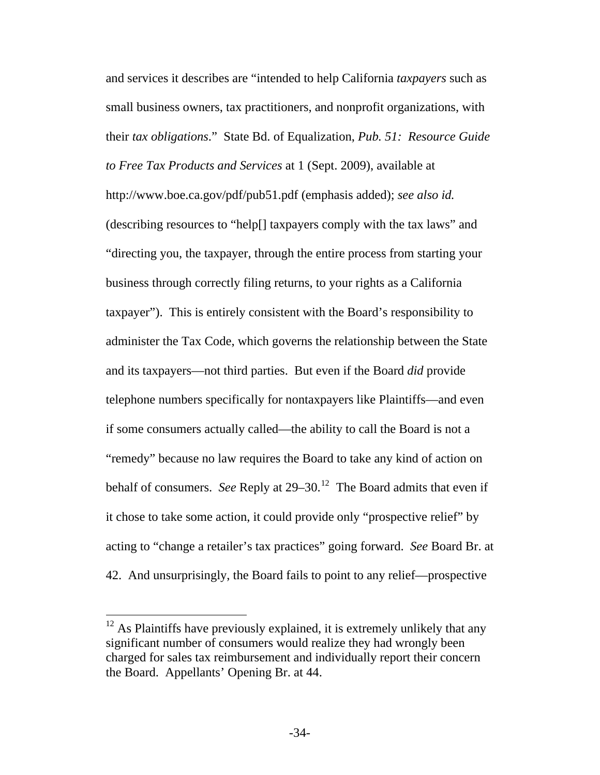and services it describes are "intended to help California *taxpayers* such as small business owners, tax practitioners, and nonprofit organizations, with their *tax obligations*." State Bd. of Equalization, *Pub. 51: Resource Guide to Free Tax Products and Services* at 1 (Sept. 2009), available at http://www.boe.ca.gov/pdf/pub51.pdf (emphasis added); *see also id.* (describing resources to "help[] taxpayers comply with the tax laws" and "directing you, the taxpayer, through the entire process from starting your business through correctly filing returns, to your rights as a California taxpayer"). This is entirely consistent with the Board's responsibility to administer the Tax Code, which governs the relationship between the State and its taxpayers—not third parties. But even if the Board *did* provide telephone numbers specifically for nontaxpayers like Plaintiffs—and even if some consumers actually called—the ability to call the Board is not a "remedy" because no law requires the Board to take any kind of action on behalf of consumers. *See* Reply at 29–30.<sup>[12](#page-41-0)</sup> The Board admits that even if it chose to take some action, it could provide only "prospective relief" by acting to "change a retailer's tax practices" going forward. *See* Board Br. at 42. And unsurprisingly, the Board fails to point to any relief—prospective

<span id="page-41-0"></span> $12$  As Plaintiffs have previously explained, it is extremely unlikely that any significant number of consumers would realize they had wrongly been charged for sales tax reimbursement and individually report their concern the Board. Appellants' Opening Br. at 44.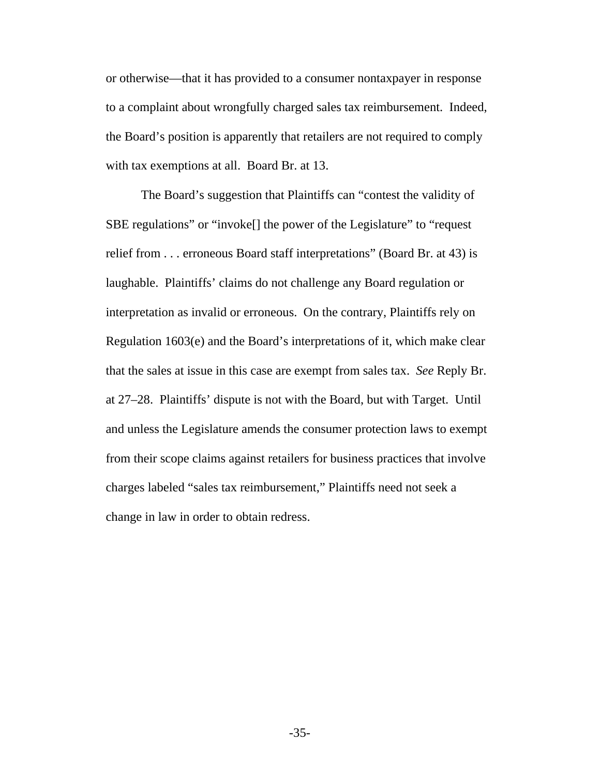or otherwise—that it has provided to a consumer nontaxpayer in response to a complaint about wrongfully charged sales tax reimbursement. Indeed, the Board's position is apparently that retailers are not required to comply with tax exemptions at all. Board Br. at 13.

The Board's suggestion that Plaintiffs can "contest the validity of SBE regulations" or "invoke[] the power of the Legislature" to "request relief from . . . erroneous Board staff interpretations" (Board Br. at 43) is laughable. Plaintiffs' claims do not challenge any Board regulation or interpretation as invalid or erroneous. On the contrary, Plaintiffs rely on Regulation 1603(e) and the Board's interpretations of it, which make clear that the sales at issue in this case are exempt from sales tax. *See* Reply Br. at 27–28. Plaintiffs' dispute is not with the Board, but with Target. Until and unless the Legislature amends the consumer protection laws to exempt from their scope claims against retailers for business practices that involve charges labeled "sales tax reimbursement," Plaintiffs need not seek a change in law in order to obtain redress.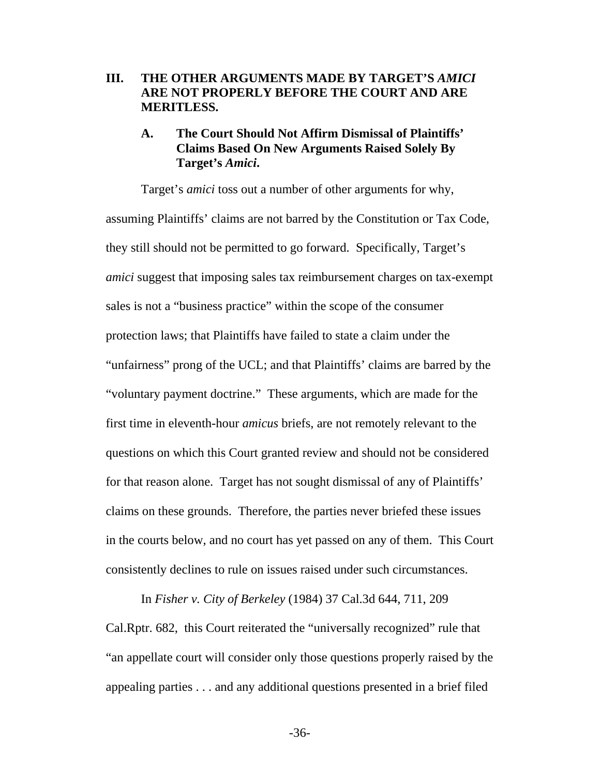#### <span id="page-43-0"></span>**III. THE OTHER ARGUMENTS MADE BY TARGET'S** *AMICI* **ARE NOT PROPERLY BEFORE THE COURT AND ARE MERITLESS.**

# **A. The Court Should Not Affirm Dismissal of Plaintiffs' Claims Based On New Arguments Raised Solely By Target's** *Amici***.**

Target's *amici* toss out a number of other arguments for why, assuming Plaintiffs' claims are not barred by the Constitution or Tax Code, they still should not be permitted to go forward. Specifically, Target's *amici* suggest that imposing sales tax reimbursement charges on tax-exempt sales is not a "business practice" within the scope of the consumer protection laws; that Plaintiffs have failed to state a claim under the "unfairness" prong of the UCL; and that Plaintiffs' claims are barred by the "voluntary payment doctrine." These arguments, which are made for the first time in eleventh-hour *amicus* briefs, are not remotely relevant to the questions on which this Court granted review and should not be considered for that reason alone. Target has not sought dismissal of any of Plaintiffs' claims on these grounds. Therefore, the parties never briefed these issues in the courts below, and no court has yet passed on any of them. This Court consistently declines to rule on issues raised under such circumstances.

In *Fisher v. City of Berkeley* (1984) 37 Cal.3d 644, 711, 209 Cal.Rptr. 682, this Court reiterated the "universally recognized" rule that "an appellate court will consider only those questions properly raised by the appealing parties . . . and any additional questions presented in a brief filed

-36-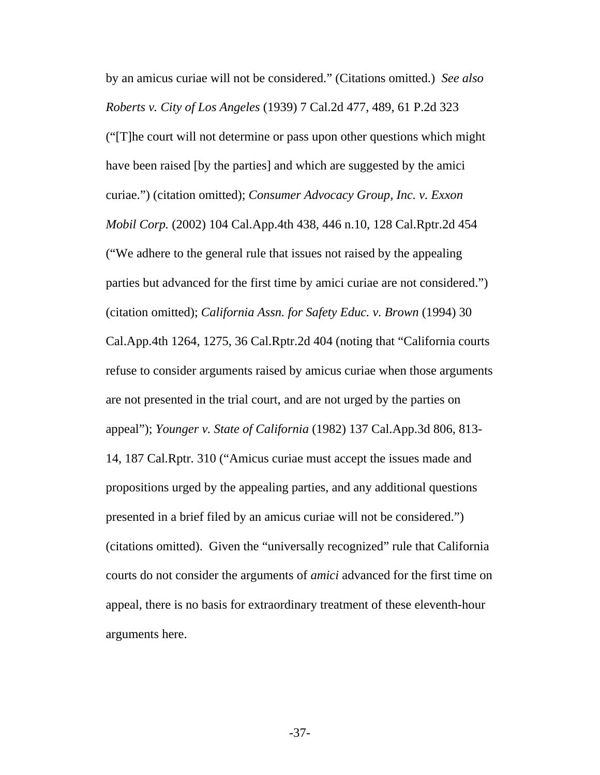by an amicus curiae will not be considered." (Citations omitted.) *See also Roberts v. City of Los Angeles* (1939) 7 Cal.2d 477, 489, 61 P.2d 323 ("[T]he court will not determine or pass upon other questions which might have been raised [by the parties] and which are suggested by the amici curiae.") (citation omitted); *Consumer Advocacy Group, Inc. v. Exxon Mobil Corp.* (2002) 104 Cal.App.4th 438, 446 n.10, 128 Cal.Rptr.2d 454 ("We adhere to the general rule that issues not raised by the appealing parties but advanced for the first time by amici curiae are not considered.") (citation omitted); *California Assn. for Safety Educ. v. Brown* (1994) 30 Cal.App.4th 1264, 1275, 36 Cal.Rptr.2d 404 (noting that "California courts refuse to consider arguments raised by amicus curiae when those arguments are not presented in the trial court, and are not urged by the parties on appeal"); *Younger v. State of California* (1982) 137 Cal.App.3d 806, 813- 14, 187 Cal.Rptr. 310 ("Amicus curiae must accept the issues made and propositions urged by the appealing parties, and any additional questions presented in a brief filed by an amicus curiae will not be considered.") (citations omitted). Given the "universally recognized" rule that California courts do not consider the arguments of *amici* advanced for the first time on appeal, there is no basis for extraordinary treatment of these eleventh-hour arguments here.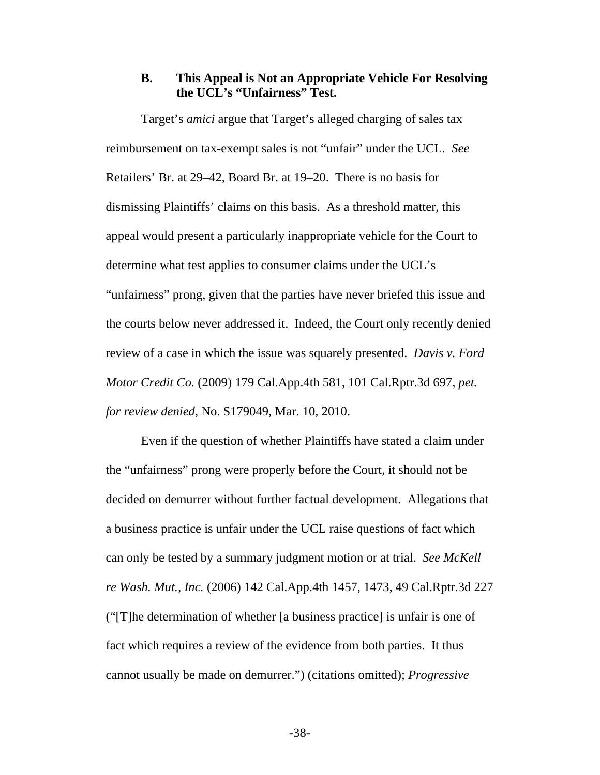#### **B. This Appeal is Not an Appropriate Vehicle For Resolving the UCL's "Unfairness" Test.**

<span id="page-45-0"></span>Target's *amici* argue that Target's alleged charging of sales tax reimbursement on tax-exempt sales is not "unfair" under the UCL. *See* Retailers' Br. at 29–42, Board Br. at 19–20. There is no basis for dismissing Plaintiffs' claims on this basis. As a threshold matter, this appeal would present a particularly inappropriate vehicle for the Court to determine what test applies to consumer claims under the UCL's "unfairness" prong, given that the parties have never briefed this issue and the courts below never addressed it. Indeed, the Court only recently denied review of a case in which the issue was squarely presented. *Davis v. Ford Motor Credit Co.* (2009) 179 Cal.App.4th 581, 101 Cal.Rptr.3d 697, *pet. for review denied*, No. S179049, Mar. 10, 2010.

Even if the question of whether Plaintiffs have stated a claim under the "unfairness" prong were properly before the Court, it should not be decided on demurrer without further factual development. Allegations that a business practice is unfair under the UCL raise questions of fact which can only be tested by a summary judgment motion or at trial. *See McKell re Wash. Mut., Inc.* (2006) 142 Cal.App.4th 1457, 1473, 49 Cal.Rptr.3d 227 ("[T]he determination of whether [a business practice] is unfair is one of fact which requires a review of the evidence from both parties. It thus cannot usually be made on demurrer.") (citations omitted); *Progressive*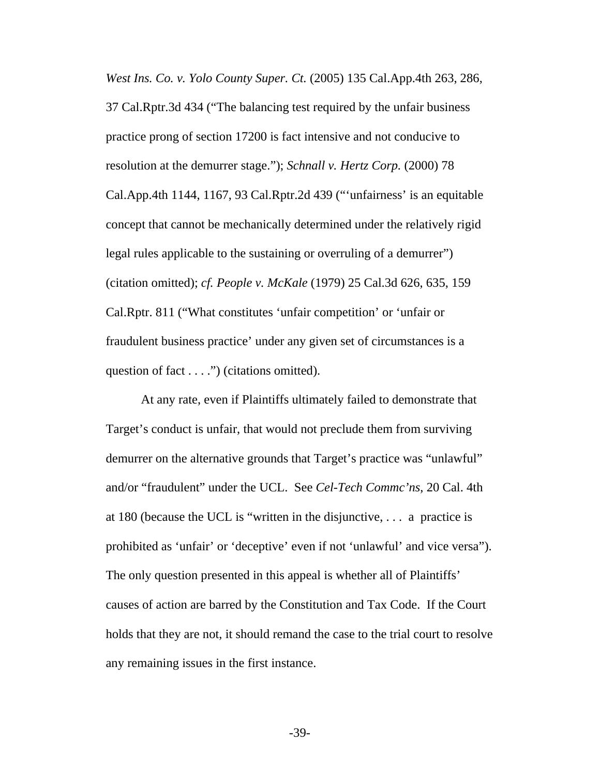*West Ins. Co. v. Yolo County Super. Ct.* (2005) 135 Cal.App.4th 263, 286, 37 Cal.Rptr.3d 434 ("The balancing test required by the unfair business practice prong of section 17200 is fact intensive and not conducive to resolution at the demurrer stage."); *Schnall v. Hertz Corp.* (2000) 78 Cal.App.4th 1144, 1167, 93 Cal.Rptr.2d 439 ("'unfairness' is an equitable concept that cannot be mechanically determined under the relatively rigid legal rules applicable to the sustaining or overruling of a demurrer") (citation omitted); *cf. People v. McKale* (1979) 25 Cal.3d 626, 635, 159 Cal.Rptr. 811 ("What constitutes 'unfair competition' or 'unfair or fraudulent business practice' under any given set of circumstances is a question of fact . . . .") (citations omitted).

At any rate, even if Plaintiffs ultimately failed to demonstrate that Target's conduct is unfair, that would not preclude them from surviving demurrer on the alternative grounds that Target's practice was "unlawful" and/or "fraudulent" under the UCL. See *Cel-Tech Commc'ns*, 20 Cal. 4th at 180 (because the UCL is "written in the disjunctive, . . . a practice is prohibited as 'unfair' or 'deceptive' even if not 'unlawful' and vice versa"). The only question presented in this appeal is whether all of Plaintiffs' causes of action are barred by the Constitution and Tax Code. If the Court holds that they are not, it should remand the case to the trial court to resolve any remaining issues in the first instance.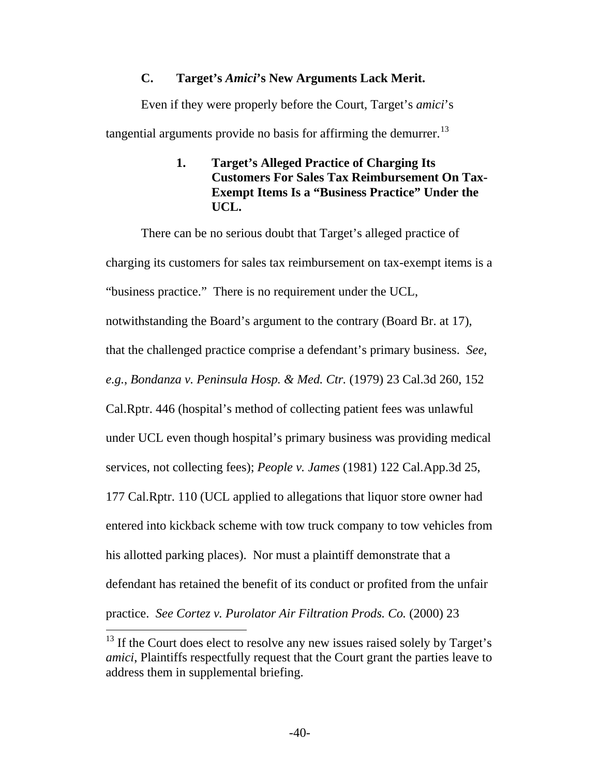### **C. Target's** *Amici***'s New Arguments Lack Merit.**

<span id="page-47-0"></span>Even if they were properly before the Court, Target's *amici*'s tangential arguments provide no basis for affirming the demurrer. $^{13}$  $^{13}$  $^{13}$ 

> **1. Target's Alleged Practice of Charging Its Customers For Sales Tax Reimbursement On Tax-Exempt Items Is a "Business Practice" Under the UCL.**

There can be no serious doubt that Target's alleged practice of charging its customers for sales tax reimbursement on tax-exempt items is a "business practice." There is no requirement under the UCL, notwithstanding the Board's argument to the contrary (Board Br. at 17), that the challenged practice comprise a defendant's primary business. *See, e.g.*, *Bondanza v. Peninsula Hosp. & Med. Ctr.* (1979) 23 Cal.3d 260, 152 Cal.Rptr. 446 (hospital's method of collecting patient fees was unlawful under UCL even though hospital's primary business was providing medical services, not collecting fees); *People v. James* (1981) 122 Cal.App.3d 25, 177 Cal.Rptr. 110 (UCL applied to allegations that liquor store owner had entered into kickback scheme with tow truck company to tow vehicles from his allotted parking places). Nor must a plaintiff demonstrate that a defendant has retained the benefit of its conduct or profited from the unfair practice. *See Cortez v. Purolator Air Filtration Prods. Co.* (2000) 23  $\overline{a}$ 

<span id="page-47-1"></span><sup>&</sup>lt;sup>13</sup> If the Court does elect to resolve any new issues raised solely by Target's *amici*, Plaintiffs respectfully request that the Court grant the parties leave to address them in supplemental briefing.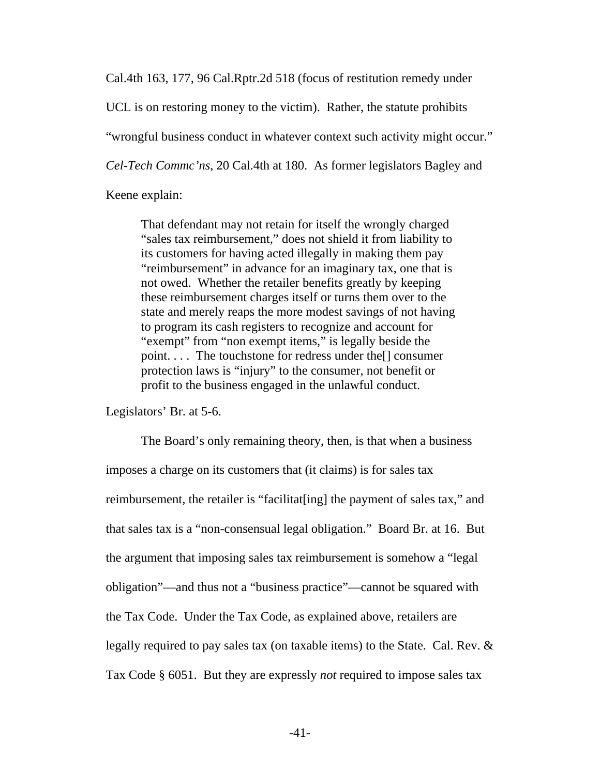Cal.4th 163, 177, 96 Cal.Rptr.2d 518 (focus of restitution remedy under

UCL is on restoring money to the victim). Rather, the statute prohibits

"wrongful business conduct in whatever context such activity might occur."

*Cel-Tech Commc'ns*, 20 Cal.4th at 180. As former legislators Bagley and

Keene explain:

That defendant may not retain for itself the wrongly charged "sales tax reimbursement," does not shield it from liability to its customers for having acted illegally in making them pay "reimbursement" in advance for an imaginary tax, one that is not owed. Whether the retailer benefits greatly by keeping these reimbursement charges itself or turns them over to the state and merely reaps the more modest savings of not having to program its cash registers to recognize and account for "exempt" from "non exempt items," is legally beside the point. . . . The touchstone for redress under the[] consumer protection laws is "injury" to the consumer, not benefit or profit to the business engaged in the unlawful conduct.

Legislators' Br. at 5-6.

The Board's only remaining theory, then, is that when a business imposes a charge on its customers that (it claims) is for sales tax reimbursement, the retailer is "facilitat[ing] the payment of sales tax," and that sales tax is a "non-consensual legal obligation." Board Br. at 16. But the argument that imposing sales tax reimbursement is somehow a "legal obligation"—and thus not a "business practice"—cannot be squared with the Tax Code. Under the Tax Code, as explained above, retailers are legally required to pay sales tax (on taxable items) to the State. Cal. Rev. & Tax Code § 6051. But they are expressly *not* required to impose sales tax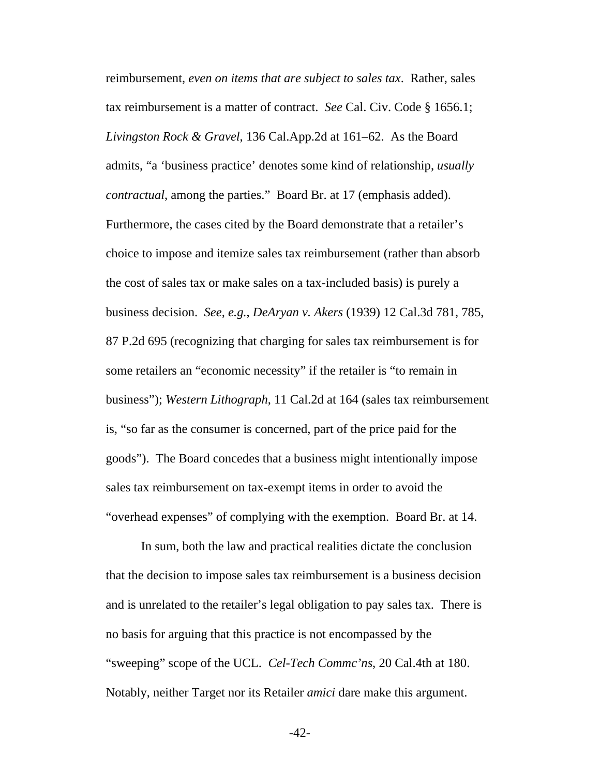reimbursement, *even on items that are subject to sales tax*. Rather, sales tax reimbursement is a matter of contract. *See* Cal. Civ. Code § 1656.1; *Livingston Rock & Gravel*, 136 Cal.App.2d at 161–62. As the Board admits, "a 'business practice' denotes some kind of relationship, *usually contractual*, among the parties." Board Br. at 17 (emphasis added). Furthermore, the cases cited by the Board demonstrate that a retailer's choice to impose and itemize sales tax reimbursement (rather than absorb the cost of sales tax or make sales on a tax-included basis) is purely a business decision. *See, e.g.*, *DeAryan v. Akers* (1939) 12 Cal.3d 781, 785, 87 P.2d 695 (recognizing that charging for sales tax reimbursement is for some retailers an "economic necessity" if the retailer is "to remain in business"); *Western Lithograph*, 11 Cal.2d at 164 (sales tax reimbursement is, "so far as the consumer is concerned, part of the price paid for the goods"). The Board concedes that a business might intentionally impose sales tax reimbursement on tax-exempt items in order to avoid the "overhead expenses" of complying with the exemption. Board Br. at 14.

In sum, both the law and practical realities dictate the conclusion that the decision to impose sales tax reimbursement is a business decision and is unrelated to the retailer's legal obligation to pay sales tax. There is no basis for arguing that this practice is not encompassed by the "sweeping" scope of the UCL. *Cel-Tech Commc'ns*, 20 Cal.4th at 180. Notably, neither Target nor its Retailer *amici* dare make this argument.

-42-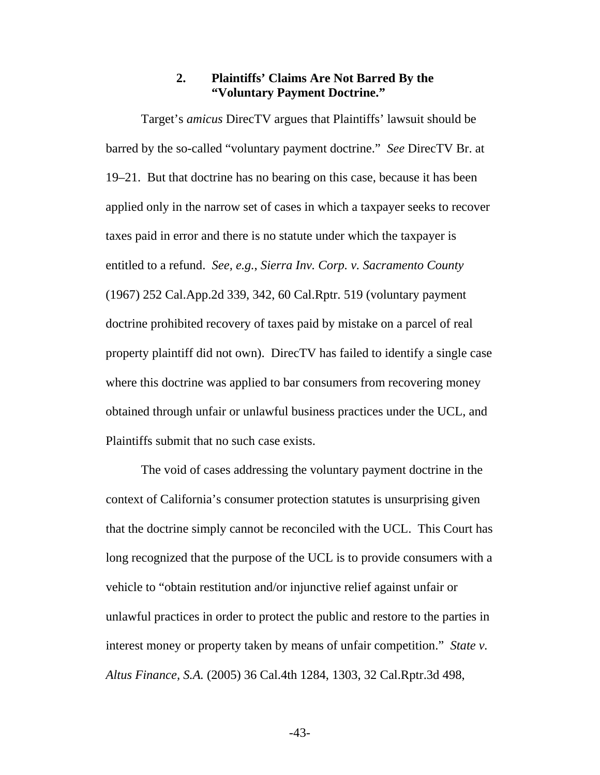#### **2. Plaintiffs' Claims Are Not Barred By the "Voluntary Payment Doctrine."**

<span id="page-50-0"></span>Target's *amicus* DirecTV argues that Plaintiffs' lawsuit should be barred by the so-called "voluntary payment doctrine." *See* DirecTV Br. at 19–21. But that doctrine has no bearing on this case, because it has been applied only in the narrow set of cases in which a taxpayer seeks to recover taxes paid in error and there is no statute under which the taxpayer is entitled to a refund. *See, e.g.*, *Sierra Inv. Corp. v. Sacramento County* (1967) 252 Cal.App.2d 339, 342, 60 Cal.Rptr. 519 (voluntary payment doctrine prohibited recovery of taxes paid by mistake on a parcel of real property plaintiff did not own). DirecTV has failed to identify a single case where this doctrine was applied to bar consumers from recovering money obtained through unfair or unlawful business practices under the UCL, and Plaintiffs submit that no such case exists.

The void of cases addressing the voluntary payment doctrine in the context of California's consumer protection statutes is unsurprising given that the doctrine simply cannot be reconciled with the UCL. This Court has long recognized that the purpose of the UCL is to provide consumers with a vehicle to "obtain restitution and/or injunctive relief against unfair or unlawful practices in order to protect the public and restore to the parties in interest money or property taken by means of unfair competition." *State v. Altus Finance, S.A.* (2005) 36 Cal.4th 1284, 1303, 32 Cal.Rptr.3d 498,

-43-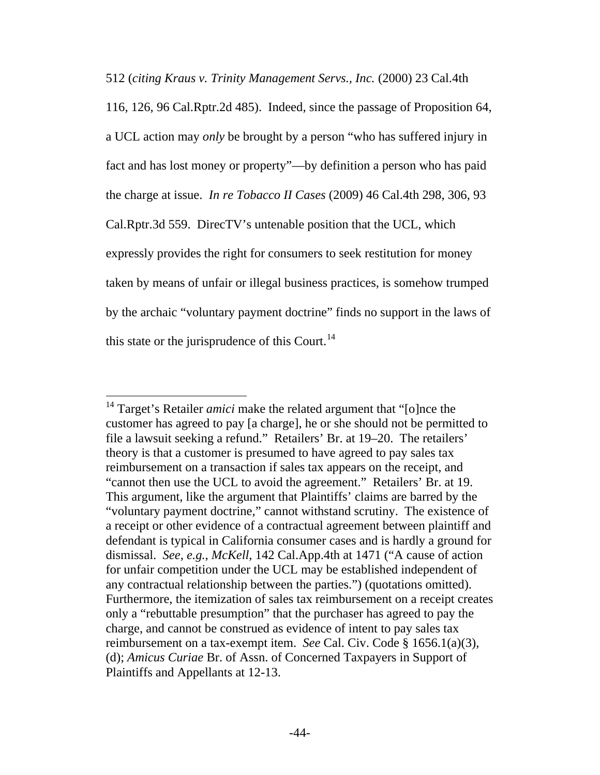512 (*citing Kraus v. Trinity Management Servs., Inc.* (2000) 23 Cal.4th

116, 126, 96 Cal.Rptr.2d 485). Indeed, since the passage of Proposition 64, a UCL action may *only* be brought by a person "who has suffered injury in fact and has lost money or property"—by definition a person who has paid the charge at issue. *In re Tobacco II Cases* (2009) 46 Cal.4th 298, 306, 93 Cal.Rptr.3d 559. DirecTV's untenable position that the UCL, which expressly provides the right for consumers to seek restitution for money taken by means of unfair or illegal business practices, is somehow trumped by the archaic "voluntary payment doctrine" finds no support in the laws of this state or the jurisprudence of this Court.<sup>[14](#page-51-0)</sup>

<span id="page-51-0"></span> $\overline{a}$ <sup>14</sup> Target's Retailer *amici* make the related argument that "[o]nce the customer has agreed to pay [a charge], he or she should not be permitted to file a lawsuit seeking a refund." Retailers' Br. at 19–20. The retailers' theory is that a customer is presumed to have agreed to pay sales tax reimbursement on a transaction if sales tax appears on the receipt, and "cannot then use the UCL to avoid the agreement." Retailers' Br. at 19. This argument, like the argument that Plaintiffs' claims are barred by the "voluntary payment doctrine," cannot withstand scrutiny. The existence of a receipt or other evidence of a contractual agreement between plaintiff and defendant is typical in California consumer cases and is hardly a ground for dismissal. *See, e.g.*, *McKell*, 142 Cal.App.4th at 1471 ("A cause of action for unfair competition under the UCL may be established independent of any contractual relationship between the parties.") (quotations omitted). Furthermore, the itemization of sales tax reimbursement on a receipt creates only a "rebuttable presumption" that the purchaser has agreed to pay the charge, and cannot be construed as evidence of intent to pay sales tax reimbursement on a tax-exempt item. *See* Cal. Civ. Code § 1656.1(a)(3), (d); *Amicus Curiae* Br. of Assn. of Concerned Taxpayers in Support of Plaintiffs and Appellants at 12-13.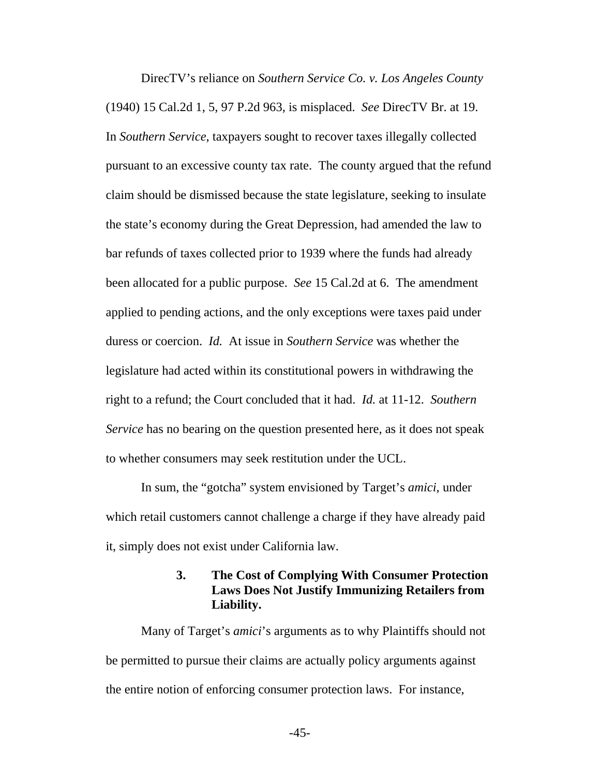<span id="page-52-0"></span>DirecTV's reliance on *Southern Service Co. v. Los Angeles County* (1940) 15 Cal.2d 1, 5, 97 P.2d 963, is misplaced. *See* DirecTV Br. at 19. In *Southern Service*, taxpayers sought to recover taxes illegally collected pursuant to an excessive county tax rate. The county argued that the refund claim should be dismissed because the state legislature, seeking to insulate the state's economy during the Great Depression, had amended the law to bar refunds of taxes collected prior to 1939 where the funds had already been allocated for a public purpose. *See* 15 Cal.2d at 6. The amendment applied to pending actions, and the only exceptions were taxes paid under duress or coercion. *Id.* At issue in *Southern Service* was whether the legislature had acted within its constitutional powers in withdrawing the right to a refund; the Court concluded that it had. *Id.* at 11-12. *Southern Service* has no bearing on the question presented here, as it does not speak to whether consumers may seek restitution under the UCL.

In sum, the "gotcha" system envisioned by Target's *amici*, under which retail customers cannot challenge a charge if they have already paid it, simply does not exist under California law.

### **3. The Cost of Complying With Consumer Protection Laws Does Not Justify Immunizing Retailers from Liability.**

Many of Target's *amici*'s arguments as to why Plaintiffs should not be permitted to pursue their claims are actually policy arguments against the entire notion of enforcing consumer protection laws. For instance,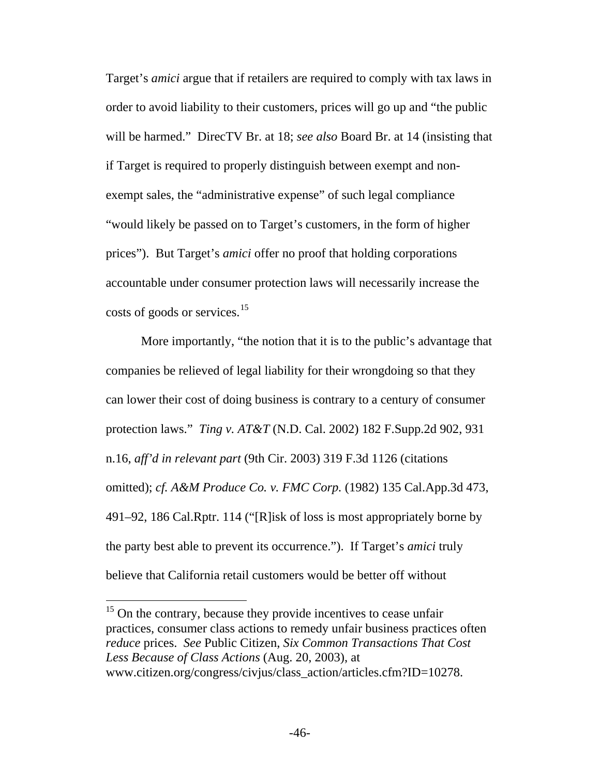Target's *amici* argue that if retailers are required to comply with tax laws in order to avoid liability to their customers, prices will go up and "the public will be harmed." DirecTV Br. at 18; *see also* Board Br. at 14 (insisting that if Target is required to properly distinguish between exempt and nonexempt sales, the "administrative expense" of such legal compliance "would likely be passed on to Target's customers, in the form of higher prices"). But Target's *amici* offer no proof that holding corporations accountable under consumer protection laws will necessarily increase the costs of goods or services.<sup>[15](#page-53-0)</sup>

More importantly, "the notion that it is to the public's advantage that companies be relieved of legal liability for their wrongdoing so that they can lower their cost of doing business is contrary to a century of consumer protection laws." *Ting v. AT&T* (N.D. Cal. 2002) 182 F.Supp.2d 902, 931 n.16, *aff'd in relevant part* (9th Cir. 2003) 319 F.3d 1126 (citations omitted); *cf. A&M Produce Co. v. FMC Corp.* (1982) 135 Cal.App.3d 473, 491–92, 186 Cal.Rptr. 114 ("[R]isk of loss is most appropriately borne by the party best able to prevent its occurrence."). If Target's *amici* truly believe that California retail customers would be better off without

<span id="page-53-0"></span> $15$  On the contrary, because they provide incentives to cease unfair practices, consumer class actions to remedy unfair business practices often *reduce* prices. *See* Public Citizen, *Six Common Transactions That Cost Less Because of Class Actions* (Aug. 20, 2003), at www.citizen.org/congress/civjus/class\_action/articles.cfm?ID=10278.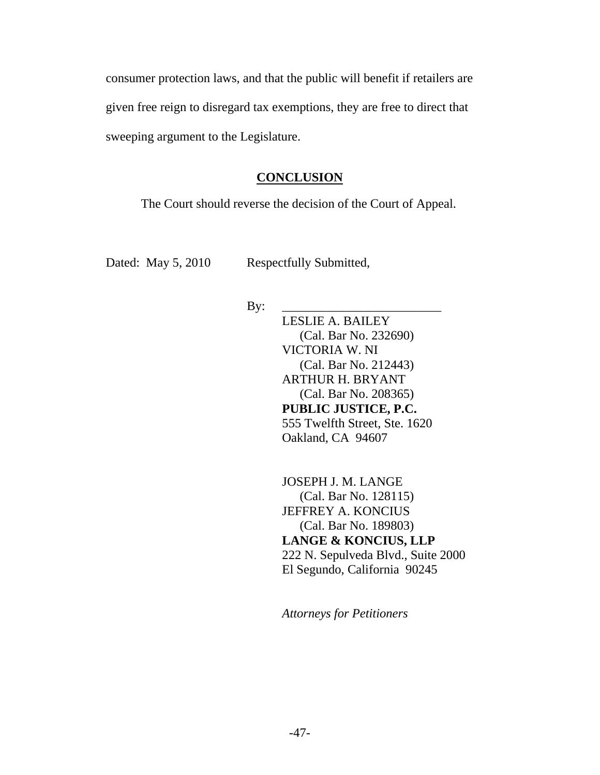<span id="page-54-0"></span>consumer protection laws, and that the public will benefit if retailers are given free reign to disregard tax exemptions, they are free to direct that sweeping argument to the Legislature.

#### **CONCLUSION**

The Court should reverse the decision of the Court of Appeal.

Dated: May 5, 2010 Respectfully Submitted,

By: \_\_\_\_\_\_\_\_\_\_\_\_\_\_\_\_\_\_\_\_\_\_\_\_\_

LESLIE A. BAILEY (Cal. Bar No. 232690) VICTORIA W. NI (Cal. Bar No. 212443) ARTHUR H. BRYANT (Cal. Bar No. 208365) **PUBLIC JUSTICE, P.C.**  555 Twelfth Street, Ste. 1620 Oakland, CA 94607

JOSEPH J. M. LANGE (Cal. Bar No. 128115) JEFFREY A. KONCIUS (Cal. Bar No. 189803) **LANGE & KONCIUS, LLP**  222 N. Sepulveda Blvd., Suite 2000 El Segundo, California 90245

*Attorneys for Petitioners*